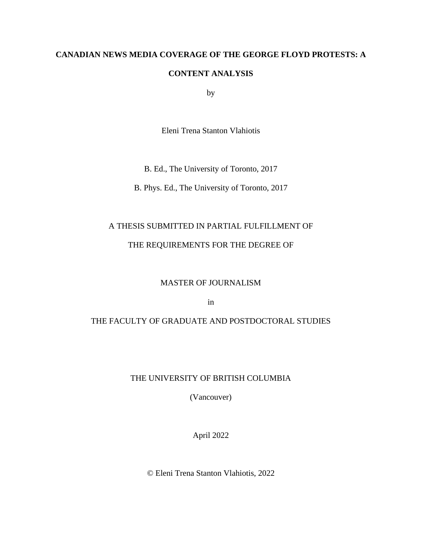## **CANADIAN NEWS MEDIA COVERAGE OF THE GEORGE FLOYD PROTESTS: A**

## **CONTENT ANALYSIS**

by

Eleni Trena Stanton Vlahiotis

B. Ed., The University of Toronto, 2017

B. Phys. Ed., The University of Toronto, 2017

## A THESIS SUBMITTED IN PARTIAL FULFILLMENT OF

## THE REQUIREMENTS FOR THE DEGREE OF

## MASTER OF JOURNALISM

in

## THE FACULTY OF GRADUATE AND POSTDOCTORAL STUDIES

## THE UNIVERSITY OF BRITISH COLUMBIA

(Vancouver)

April 2022

© Eleni Trena Stanton Vlahiotis, 2022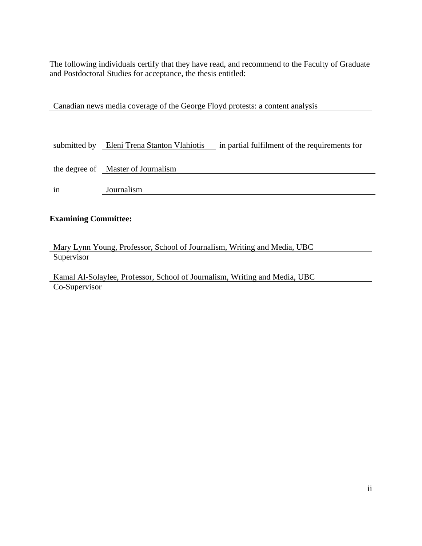The following individuals certify that they have read, and recommend to the Faculty of Graduate and Postdoctoral Studies for acceptance, the thesis entitled:

Canadian news media coverage of the George Floyd protests: a content analysis

| submitted by | Eleni Trena Stanton Vlahiotis      | in partial fulfilment of the requirements for |
|--------------|------------------------------------|-----------------------------------------------|
|              | the degree of Master of Journalism |                                               |
| in           | Journalism                         |                                               |

## **Examining Committee:**

Mary Lynn Young, Professor, School of Journalism, Writing and Media, UBC **Supervisor** 

Kamal Al-Solaylee, Professor, School of Journalism, Writing and Media, UBC Co-Supervisor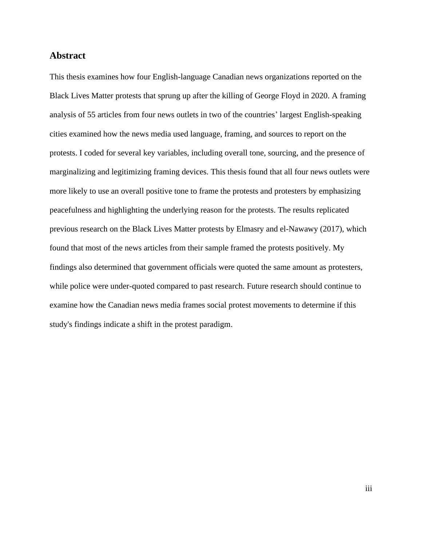## <span id="page-2-0"></span>**Abstract**

This thesis examines how four English-language Canadian news organizations reported on the Black Lives Matter protests that sprung up after the killing of George Floyd in 2020. A framing analysis of 55 articles from four news outlets in two of the countries' largest English-speaking cities examined how the news media used language, framing, and sources to report on the protests. I coded for several key variables, including overall tone, sourcing, and the presence of marginalizing and legitimizing framing devices. This thesis found that all four news outlets were more likely to use an overall positive tone to frame the protests and protesters by emphasizing peacefulness and highlighting the underlying reason for the protests. The results replicated previous research on the Black Lives Matter protests by Elmasry and el-Nawawy (2017), which found that most of the news articles from their sample framed the protests positively. My findings also determined that government officials were quoted the same amount as protesters, while police were under-quoted compared to past research. Future research should continue to examine how the Canadian news media frames social protest movements to determine if this study's findings indicate a shift in the protest paradigm.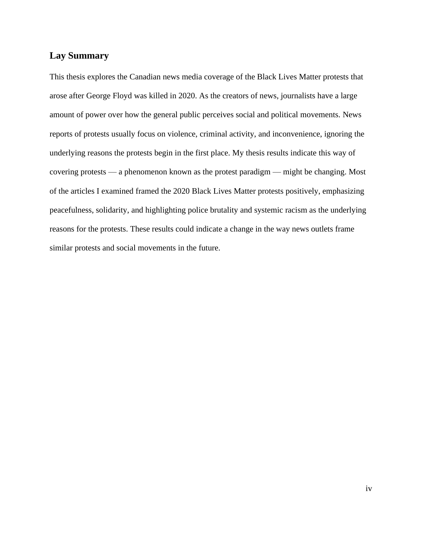## <span id="page-3-0"></span>**Lay Summary**

This thesis explores the Canadian news media coverage of the Black Lives Matter protests that arose after George Floyd was killed in 2020. As the creators of news, journalists have a large amount of power over how the general public perceives social and political movements. News reports of protests usually focus on violence, criminal activity, and inconvenience, ignoring the underlying reasons the protests begin in the first place. My thesis results indicate this way of covering protests — a phenomenon known as the protest paradigm — might be changing. Most of the articles I examined framed the 2020 Black Lives Matter protests positively, emphasizing peacefulness, solidarity, and highlighting police brutality and systemic racism as the underlying reasons for the protests. These results could indicate a change in the way news outlets frame similar protests and social movements in the future.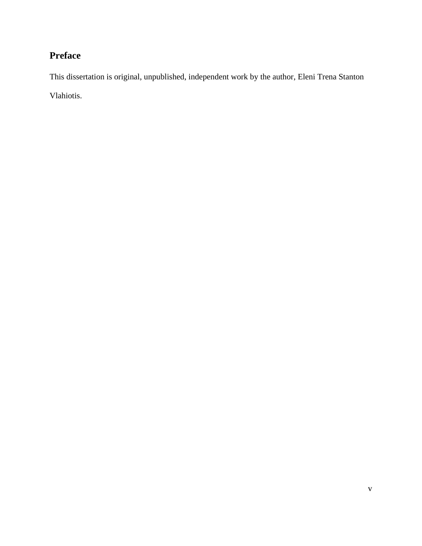# <span id="page-4-0"></span>**Preface**

This dissertation is original, unpublished, independent work by the author, Eleni Trena Stanton Vlahiotis.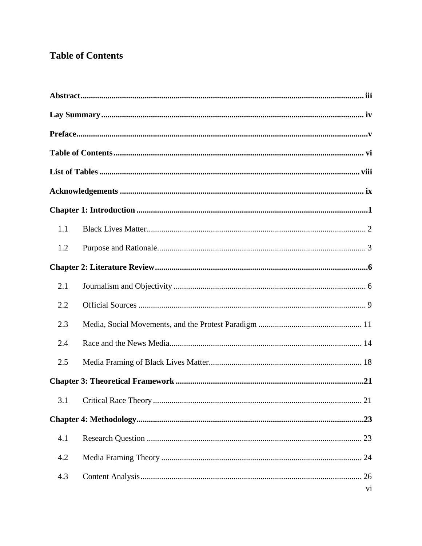## <span id="page-5-0"></span>**Table of Contents**

| 1.1 |    |  |
|-----|----|--|
| 1.2 |    |  |
|     |    |  |
| 2.1 |    |  |
| 2.2 |    |  |
| 2.3 |    |  |
| 2.4 |    |  |
| 2.5 |    |  |
|     |    |  |
|     |    |  |
|     |    |  |
| 4.1 |    |  |
| 4.2 |    |  |
| 4.3 | 26 |  |
|     | vi |  |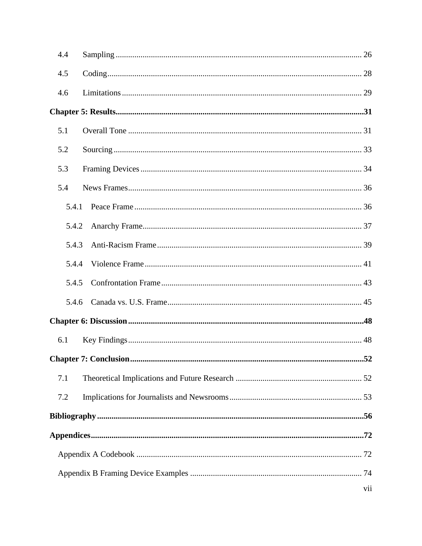| 4.4 |       |  |     |
|-----|-------|--|-----|
| 4.5 |       |  |     |
| 4.6 |       |  |     |
|     |       |  |     |
| 5.1 |       |  |     |
| 5.2 |       |  |     |
| 5.3 |       |  |     |
| 5.4 |       |  |     |
|     | 5.4.1 |  |     |
|     | 5.4.2 |  |     |
|     | 5.4.3 |  |     |
|     | 5.4.4 |  |     |
|     | 5.4.5 |  |     |
|     | 5.4.6 |  |     |
|     |       |  |     |
| 6.1 |       |  |     |
|     |       |  |     |
| 7.1 |       |  |     |
| 7.2 |       |  |     |
|     |       |  |     |
|     |       |  |     |
|     |       |  |     |
|     |       |  |     |
|     |       |  | vii |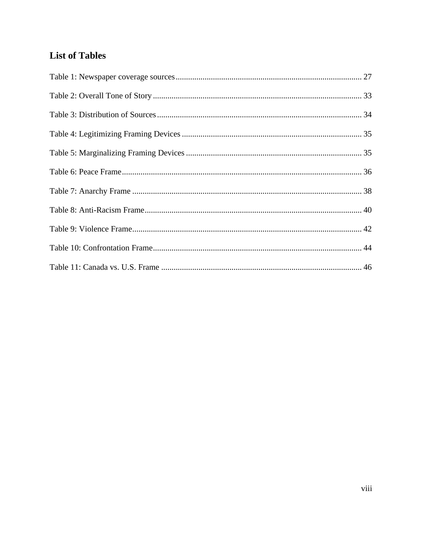# <span id="page-7-0"></span>**List of Tables**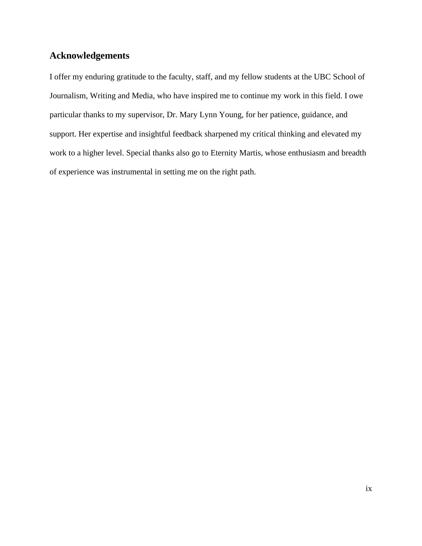## <span id="page-8-0"></span>**Acknowledgements**

I offer my enduring gratitude to the faculty, staff, and my fellow students at the UBC School of Journalism, Writing and Media, who have inspired me to continue my work in this field. I owe particular thanks to my supervisor, Dr. Mary Lynn Young, for her patience, guidance, and support. Her expertise and insightful feedback sharpened my critical thinking and elevated my work to a higher level. Special thanks also go to Eternity Martis, whose enthusiasm and breadth of experience was instrumental in setting me on the right path.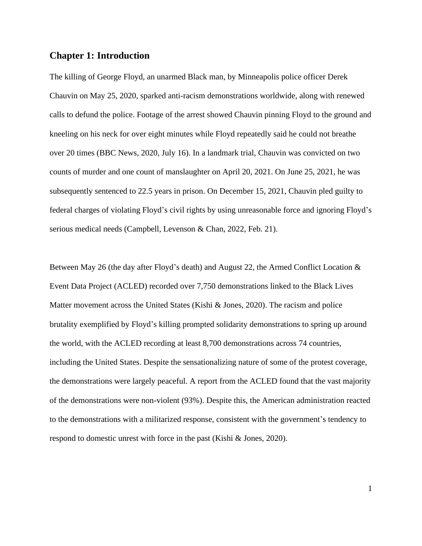## <span id="page-9-0"></span>**Chapter 1: Introduction**

The killing of George Floyd, an unarmed Black man, by Minneapolis police officer Derek Chauvin on May 25, 2020, sparked anti-racism demonstrations worldwide, along with renewed calls to defund the police. Footage of the arrest showed Chauvin pinning Floyd to the ground and kneeling on his neck for over eight minutes while Floyd repeatedly said he could not breathe over 20 times (BBC News, 2020, July 16). In a landmark trial, Chauvin was convicted on two counts of murder and one count of manslaughter on April 20, 2021. On June 25, 2021, he was subsequently sentenced to 22.5 years in prison. On December 15, 2021, Chauvin pled guilty to federal charges of violating Floyd's civil rights by using unreasonable force and ignoring Floyd's serious medical needs (Campbell, Levenson & Chan, 2022, Feb. 21).

Between May 26 (the day after Floyd's death) and August 22, the Armed Conflict Location & Event Data Project (ACLED) recorded over 7,750 demonstrations linked to the Black Lives Matter movement across the United States (Kishi & Jones, 2020). The racism and police brutality exemplified by Floyd's killing prompted solidarity demonstrations to spring up around the world, with the ACLED recording at least 8,700 demonstrations across 74 countries, including the United States. Despite the sensationalizing nature of some of the protest coverage, the demonstrations were largely peaceful. A report from the ACLED found that the vast majority of the demonstrations were non-violent (93%). Despite this, the American administration reacted to the demonstrations with a militarized response, consistent with the government's tendency to respond to domestic unrest with force in the past (Kishi & Jones, 2020).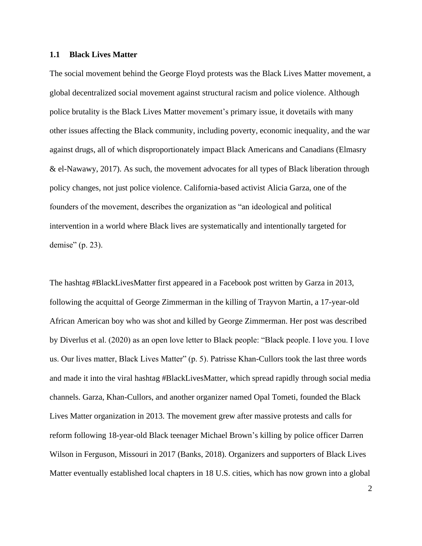#### <span id="page-10-0"></span>**1.1 Black Lives Matter**

The social movement behind the George Floyd protests was the Black Lives Matter movement, a global decentralized social movement against structural racism and police violence. Although police brutality is the Black Lives Matter movement's primary issue, it dovetails with many other issues affecting the Black community, including poverty, economic inequality, and the war against drugs, all of which disproportionately impact Black Americans and Canadians (Elmasry & el-Nawawy, 2017). As such, the movement advocates for all types of Black liberation through policy changes, not just police violence. California-based activist Alicia Garza, one of the founders of the movement, describes the organization as "an ideological and political intervention in a world where Black lives are systematically and intentionally targeted for demise" (p. 23).

The hashtag #BlackLivesMatter first appeared in a Facebook post written by Garza in 2013, following the acquittal of George Zimmerman in the killing of Trayvon Martin, a 17-year-old African American boy who was shot and killed by George Zimmerman. Her post was described by Diverlus et al. (2020) as an open love letter to Black people: "Black people. I love you. I love us. Our lives matter, Black Lives Matter" (p. 5). Patrisse Khan-Cullors took the last three words and made it into the viral hashtag #BlackLivesMatter, which spread rapidly through social media channels. Garza, Khan-Cullors, and another organizer named Opal Tometi, founded the Black Lives Matter organization in 2013. The movement grew after massive protests and calls for reform following 18-year-old Black teenager Michael Brown's killing by police officer Darren Wilson in Ferguson, Missouri in 2017 (Banks, 2018). Organizers and supporters of Black Lives Matter eventually established local chapters in 18 U.S. cities, which has now grown into a global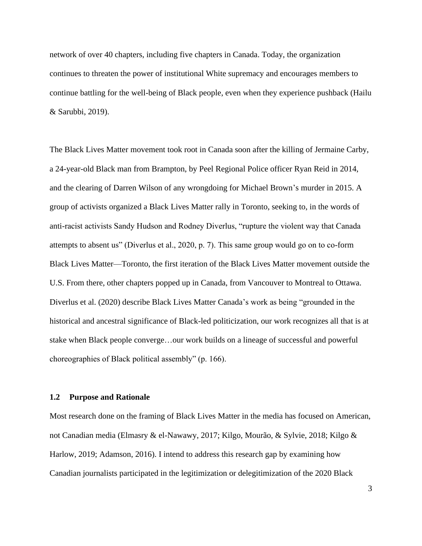network of over 40 chapters, including five chapters in Canada. Today, the organization continues to threaten the power of institutional White supremacy and encourages members to continue battling for the well-being of Black people, even when they experience pushback (Hailu & Sarubbi, 2019).

The Black Lives Matter movement took root in Canada soon after the killing of Jermaine Carby, a 24-year-old Black man from Brampton, by Peel Regional Police officer Ryan Reid in 2014, and the clearing of Darren Wilson of any wrongdoing for Michael Brown's murder in 2015. A group of activists organized a Black Lives Matter rally in Toronto, seeking to, in the words of anti-racist activists Sandy Hudson and Rodney Diverlus, "rupture the violent way that Canada attempts to absent us" (Diverlus et al., 2020, p. 7). This same group would go on to co-form Black Lives Matter—Toronto, the first iteration of the Black Lives Matter movement outside the U.S. From there, other chapters popped up in Canada, from Vancouver to Montreal to Ottawa. Diverlus et al. (2020) describe Black Lives Matter Canada's work as being "grounded in the historical and ancestral significance of Black-led politicization, our work recognizes all that is at stake when Black people converge…our work builds on a lineage of successful and powerful choreographies of Black political assembly" (p. 166).

#### <span id="page-11-0"></span>**1.2 Purpose and Rationale**

Most research done on the framing of Black Lives Matter in the media has focused on American, not Canadian media (Elmasry & el-Nawawy, 2017; Kilgo, Mourão, & Sylvie, 2018; Kilgo & Harlow, 2019; Adamson, 2016). I intend to address this research gap by examining how Canadian journalists participated in the legitimization or delegitimization of the 2020 Black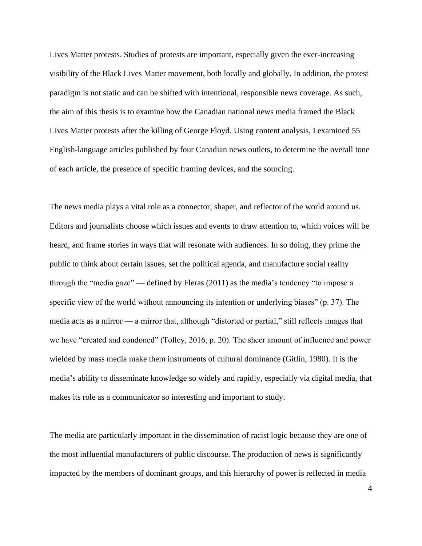Lives Matter protests. Studies of protests are important, especially given the ever-increasing visibility of the Black Lives Matter movement, both locally and globally. In addition, the protest paradigm is not static and can be shifted with intentional, responsible news coverage. As such, the aim of this thesis is to examine how the Canadian national news media framed the Black Lives Matter protests after the killing of George Floyd. Using content analysis, I examined 55 English-language articles published by four Canadian news outlets, to determine the overall tone of each article, the presence of specific framing devices, and the sourcing.

The news media plays a vital role as a connector, shaper, and reflector of the world around us. Editors and journalists choose which issues and events to draw attention to, which voices will be heard, and frame stories in ways that will resonate with audiences. In so doing, they prime the public to think about certain issues, set the political agenda, and manufacture social reality through the "media gaze" — defined by Fleras (2011) as the media's tendency "to impose a specific view of the world without announcing its intention or underlying biases" (p. 37). The media acts as a mirror — a mirror that, although "distorted or partial," still reflects images that we have "created and condoned" (Tolley, 2016, p. 20). The sheer amount of influence and power wielded by mass media make them instruments of cultural dominance (Gitlin, 1980). It is the media's ability to disseminate knowledge so widely and rapidly, especially via digital media, that makes its role as a communicator so interesting and important to study.

The media are particularly important in the dissemination of racist logic because they are one of the most influential manufacturers of public discourse. The production of news is significantly impacted by the members of dominant groups, and this hierarchy of power is reflected in media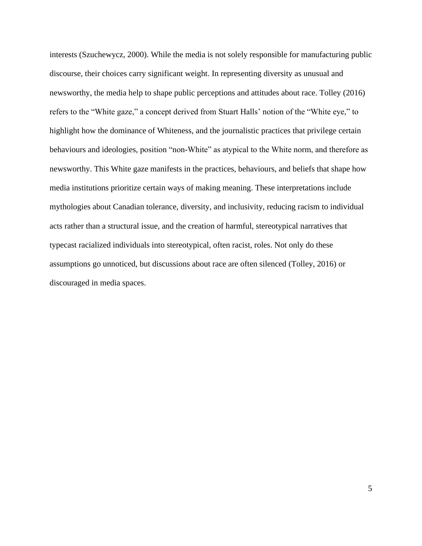interests (Szuchewycz, 2000). While the media is not solely responsible for manufacturing public discourse, their choices carry significant weight. In representing diversity as unusual and newsworthy, the media help to shape public perceptions and attitudes about race. Tolley (2016) refers to the "White gaze," a concept derived from Stuart Halls' notion of the "White eye," to highlight how the dominance of Whiteness, and the journalistic practices that privilege certain behaviours and ideologies, position "non-White" as atypical to the White norm, and therefore as newsworthy. This White gaze manifests in the practices, behaviours, and beliefs that shape how media institutions prioritize certain ways of making meaning. These interpretations include mythologies about Canadian tolerance, diversity, and inclusivity, reducing racism to individual acts rather than a structural issue, and the creation of harmful, stereotypical narratives that typecast racialized individuals into stereotypical, often racist, roles. Not only do these assumptions go unnoticed, but discussions about race are often silenced (Tolley, 2016) or discouraged in media spaces.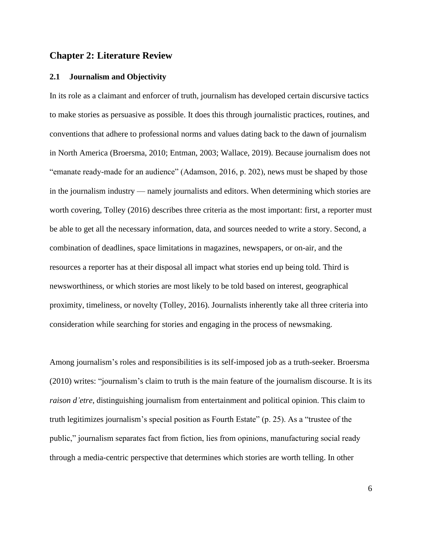#### <span id="page-14-0"></span>**Chapter 2: Literature Review**

#### <span id="page-14-1"></span>**2.1 Journalism and Objectivity**

In its role as a claimant and enforcer of truth, journalism has developed certain discursive tactics to make stories as persuasive as possible. It does this through journalistic practices, routines, and conventions that adhere to professional norms and values dating back to the dawn of journalism in North America (Broersma, 2010; Entman, 2003; Wallace, 2019). Because journalism does not "emanate ready-made for an audience" (Adamson, 2016, p. 202), news must be shaped by those in the journalism industry — namely journalists and editors. When determining which stories are worth covering, Tolley (2016) describes three criteria as the most important: first, a reporter must be able to get all the necessary information, data, and sources needed to write a story. Second, a combination of deadlines, space limitations in magazines, newspapers, or on-air, and the resources a reporter has at their disposal all impact what stories end up being told. Third is newsworthiness, or which stories are most likely to be told based on interest, geographical proximity, timeliness, or novelty (Tolley, 2016). Journalists inherently take all three criteria into consideration while searching for stories and engaging in the process of newsmaking.

Among journalism's roles and responsibilities is its self-imposed job as a truth-seeker. Broersma (2010) writes: "journalism's claim to truth is the main feature of the journalism discourse. It is its *raison d'etre*, distinguishing journalism from entertainment and political opinion. This claim to truth legitimizes journalism's special position as Fourth Estate" (p. 25). As a "trustee of the public," journalism separates fact from fiction, lies from opinions, manufacturing social ready through a media-centric perspective that determines which stories are worth telling. In other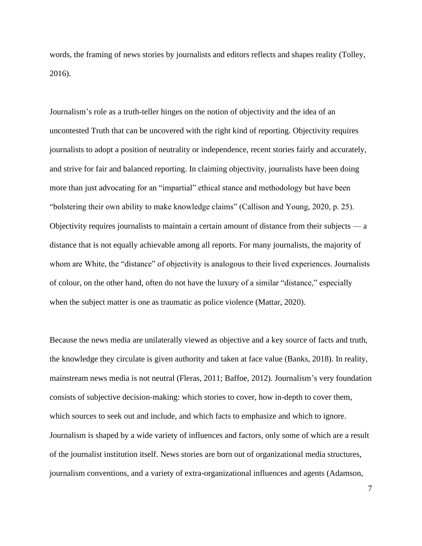words, the framing of news stories by journalists and editors reflects and shapes reality (Tolley, 2016).

Journalism's role as a truth-teller hinges on the notion of objectivity and the idea of an uncontested Truth that can be uncovered with the right kind of reporting. Objectivity requires journalists to adopt a position of neutrality or independence, recent stories fairly and accurately, and strive for fair and balanced reporting. In claiming objectivity, journalists have been doing more than just advocating for an "impartial" ethical stance and methodology but have been "bolstering their own ability to make knowledge claims" (Callison and Young, 2020, p. 25). Objectivity requires journalists to maintain a certain amount of distance from their subjects — a distance that is not equally achievable among all reports. For many journalists, the majority of whom are White, the "distance" of objectivity is analogous to their lived experiences. Journalists of colour, on the other hand, often do not have the luxury of a similar "distance," especially when the subject matter is one as traumatic as police violence (Mattar, 2020).

Because the news media are unilaterally viewed as objective and a key source of facts and truth, the knowledge they circulate is given authority and taken at face value (Banks, 2018). In reality, mainstream news media is not neutral (Fleras, 2011; Baffoe, 2012). Journalism's very foundation consists of subjective decision-making: which stories to cover, how in-depth to cover them, which sources to seek out and include, and which facts to emphasize and which to ignore. Journalism is shaped by a wide variety of influences and factors, only some of which are a result of the journalist institution itself. News stories are born out of organizational media structures, journalism conventions, and a variety of extra-organizational influences and agents (Adamson,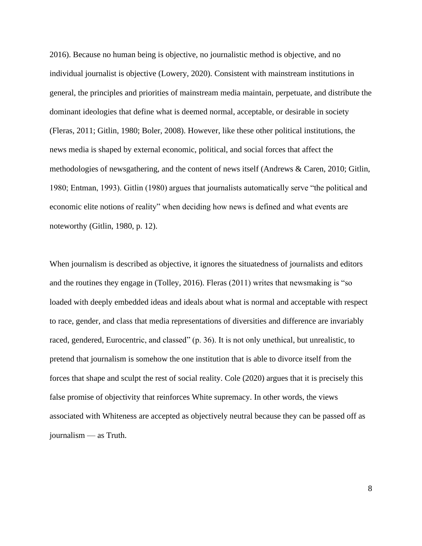2016). Because no human being is objective, no journalistic method is objective, and no individual journalist is objective (Lowery, 2020). Consistent with mainstream institutions in general, the principles and priorities of mainstream media maintain, perpetuate, and distribute the dominant ideologies that define what is deemed normal, acceptable, or desirable in society (Fleras, 2011; Gitlin, 1980; Boler, 2008). However, like these other political institutions, the news media is shaped by external economic, political, and social forces that affect the methodologies of newsgathering, and the content of news itself (Andrews & Caren, 2010; Gitlin, 1980; Entman, 1993). Gitlin (1980) argues that journalists automatically serve "the political and economic elite notions of reality" when deciding how news is defined and what events are noteworthy (Gitlin, 1980, p. 12).

When journalism is described as objective, it ignores the situatedness of journalists and editors and the routines they engage in (Tolley, 2016). Fleras (2011) writes that newsmaking is "so loaded with deeply embedded ideas and ideals about what is normal and acceptable with respect to race, gender, and class that media representations of diversities and difference are invariably raced, gendered, Eurocentric, and classed" (p. 36). It is not only unethical, but unrealistic, to pretend that journalism is somehow the one institution that is able to divorce itself from the forces that shape and sculpt the rest of social reality. Cole (2020) argues that it is precisely this false promise of objectivity that reinforces White supremacy. In other words, the views associated with Whiteness are accepted as objectively neutral because they can be passed off as journalism — as Truth.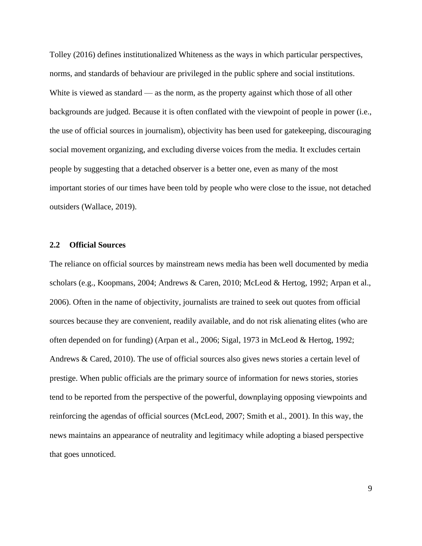Tolley (2016) defines institutionalized Whiteness as the ways in which particular perspectives, norms, and standards of behaviour are privileged in the public sphere and social institutions. White is viewed as standard — as the norm, as the property against which those of all other backgrounds are judged. Because it is often conflated with the viewpoint of people in power (i.e., the use of official sources in journalism), objectivity has been used for gatekeeping, discouraging social movement organizing, and excluding diverse voices from the media. It excludes certain people by suggesting that a detached observer is a better one, even as many of the most important stories of our times have been told by people who were close to the issue, not detached outsiders (Wallace, 2019).

#### <span id="page-17-0"></span>**2.2 Official Sources**

The reliance on official sources by mainstream news media has been well documented by media scholars (e.g., Koopmans, 2004; Andrews & Caren, 2010; McLeod & Hertog, 1992; Arpan et al., 2006). Often in the name of objectivity, journalists are trained to seek out quotes from official sources because they are convenient, readily available, and do not risk alienating elites (who are often depended on for funding) (Arpan et al., 2006; Sigal, 1973 in McLeod & Hertog, 1992; Andrews & Cared, 2010). The use of official sources also gives news stories a certain level of prestige. When public officials are the primary source of information for news stories, stories tend to be reported from the perspective of the powerful, downplaying opposing viewpoints and reinforcing the agendas of official sources (McLeod, 2007; Smith et al., 2001). In this way, the news maintains an appearance of neutrality and legitimacy while adopting a biased perspective that goes unnoticed.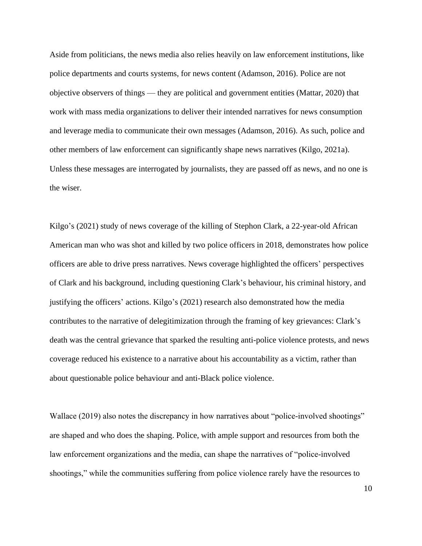Aside from politicians, the news media also relies heavily on law enforcement institutions, like police departments and courts systems, for news content (Adamson, 2016). Police are not objective observers of things — they are political and government entities (Mattar, 2020) that work with mass media organizations to deliver their intended narratives for news consumption and leverage media to communicate their own messages (Adamson, 2016). As such, police and other members of law enforcement can significantly shape news narratives (Kilgo, 2021a). Unless these messages are interrogated by journalists, they are passed off as news, and no one is the wiser.

Kilgo's (2021) study of news coverage of the killing of Stephon Clark, a 22-year-old African American man who was shot and killed by two police officers in 2018, demonstrates how police officers are able to drive press narratives. News coverage highlighted the officers' perspectives of Clark and his background, including questioning Clark's behaviour, his criminal history, and justifying the officers' actions. Kilgo's (2021) research also demonstrated how the media contributes to the narrative of delegitimization through the framing of key grievances: Clark's death was the central grievance that sparked the resulting anti-police violence protests, and news coverage reduced his existence to a narrative about his accountability as a victim, rather than about questionable police behaviour and anti-Black police violence.

Wallace (2019) also notes the discrepancy in how narratives about "police-involved shootings" are shaped and who does the shaping. Police, with ample support and resources from both the law enforcement organizations and the media, can shape the narratives of "police-involved shootings," while the communities suffering from police violence rarely have the resources to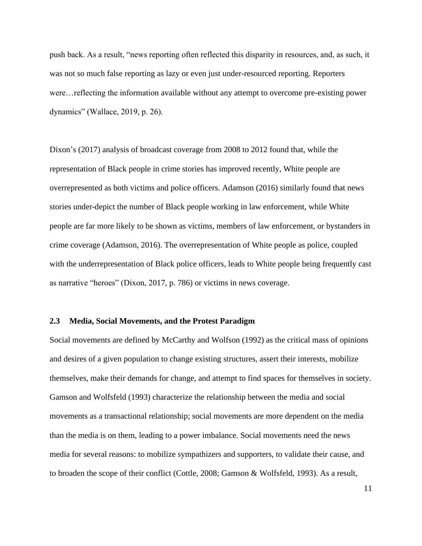push back. As a result, "news reporting often reflected this disparity in resources, and, as such, it was not so much false reporting as lazy or even just under-resourced reporting. Reporters were…reflecting the information available without any attempt to overcome pre-existing power dynamics" (Wallace, 2019, p. 26).

Dixon's (2017) analysis of broadcast coverage from 2008 to 2012 found that, while the representation of Black people in crime stories has improved recently, White people are overrepresented as both victims and police officers. Adamson (2016) similarly found that news stories under-depict the number of Black people working in law enforcement, while White people are far more likely to be shown as victims, members of law enforcement, or bystanders in crime coverage (Adamson, 2016). The overrepresentation of White people as police, coupled with the underrepresentation of Black police officers, leads to White people being frequently cast as narrative "heroes" (Dixon, 2017, p. 786) or victims in news coverage.

#### <span id="page-19-0"></span>**2.3 Media, Social Movements, and the Protest Paradigm**

Social movements are defined by McCarthy and Wolfson (1992) as the critical mass of opinions and desires of a given population to change existing structures, assert their interests, mobilize themselves, make their demands for change, and attempt to find spaces for themselves in society. Gamson and Wolfsfeld (1993) characterize the relationship between the media and social movements as a transactional relationship; social movements are more dependent on the media than the media is on them, leading to a power imbalance. Social movements need the news media for several reasons: to mobilize sympathizers and supporters, to validate their cause, and to broaden the scope of their conflict (Cottle, 2008; Gamson & Wolfsfeld, 1993). As a result,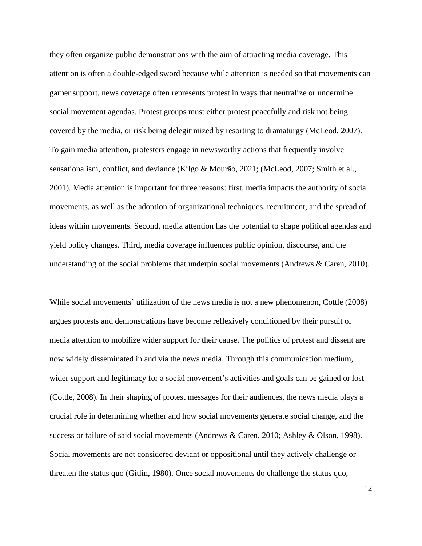they often organize public demonstrations with the aim of attracting media coverage. This attention is often a double-edged sword because while attention is needed so that movements can garner support, news coverage often represents protest in ways that neutralize or undermine social movement agendas. Protest groups must either protest peacefully and risk not being covered by the media, or risk being delegitimized by resorting to dramaturgy (McLeod, 2007). To gain media attention, protesters engage in newsworthy actions that frequently involve sensationalism, conflict, and deviance (Kilgo & Mourão, 2021; (McLeod, 2007; Smith et al., 2001). Media attention is important for three reasons: first, media impacts the authority of social movements, as well as the adoption of organizational techniques, recruitment, and the spread of ideas within movements. Second, media attention has the potential to shape political agendas and yield policy changes. Third, media coverage influences public opinion, discourse, and the understanding of the social problems that underpin social movements (Andrews & Caren, 2010).

While social movements' utilization of the news media is not a new phenomenon, Cottle (2008) argues protests and demonstrations have become reflexively conditioned by their pursuit of media attention to mobilize wider support for their cause. The politics of protest and dissent are now widely disseminated in and via the news media. Through this communication medium, wider support and legitimacy for a social movement's activities and goals can be gained or lost (Cottle, 2008). In their shaping of protest messages for their audiences, the news media plays a crucial role in determining whether and how social movements generate social change, and the success or failure of said social movements (Andrews & Caren, 2010; Ashley & Olson, 1998). Social movements are not considered deviant or oppositional until they actively challenge or threaten the status quo (Gitlin, 1980). Once social movements do challenge the status quo,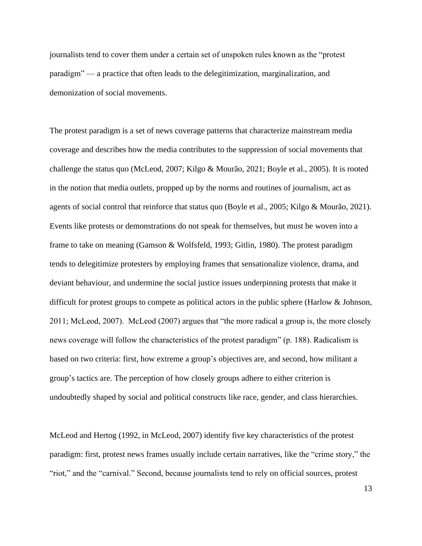journalists tend to cover them under a certain set of unspoken rules known as the "protest paradigm" — a practice that often leads to the delegitimization, marginalization, and demonization of social movements.

The protest paradigm is a set of news coverage patterns that characterize mainstream media coverage and describes how the media contributes to the suppression of social movements that challenge the status quo (McLeod, 2007; Kilgo & Mourão, 2021; Boyle et al., 2005). It is rooted in the notion that media outlets, propped up by the norms and routines of journalism, act as agents of social control that reinforce that status quo (Boyle et al., 2005; Kilgo & Mourão, 2021). Events like protests or demonstrations do not speak for themselves, but must be woven into a frame to take on meaning (Gamson & Wolfsfeld, 1993; Gitlin, 1980). The protest paradigm tends to delegitimize protesters by employing frames that sensationalize violence, drama, and deviant behaviour, and undermine the social justice issues underpinning protests that make it difficult for protest groups to compete as political actors in the public sphere (Harlow & Johnson, 2011; McLeod, 2007). McLeod (2007) argues that "the more radical a group is, the more closely news coverage will follow the characteristics of the protest paradigm" (p. 188). Radicalism is based on two criteria: first, how extreme a group's objectives are, and second, how militant a group's tactics are. The perception of how closely groups adhere to either criterion is undoubtedly shaped by social and political constructs like race, gender, and class hierarchies.

McLeod and Hertog (1992, in McLeod, 2007) identify five key characteristics of the protest paradigm: first, protest news frames usually include certain narratives, like the "crime story," the "riot," and the "carnival." Second, because journalists tend to rely on official sources, protest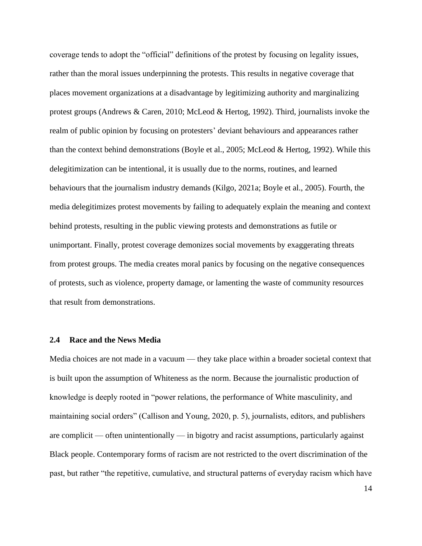coverage tends to adopt the "official" definitions of the protest by focusing on legality issues, rather than the moral issues underpinning the protests. This results in negative coverage that places movement organizations at a disadvantage by legitimizing authority and marginalizing protest groups (Andrews & Caren, 2010; McLeod & Hertog, 1992). Third, journalists invoke the realm of public opinion by focusing on protesters' deviant behaviours and appearances rather than the context behind demonstrations (Boyle et al., 2005; McLeod & Hertog, 1992). While this delegitimization can be intentional, it is usually due to the norms, routines, and learned behaviours that the journalism industry demands (Kilgo, 2021a; Boyle et al., 2005). Fourth, the media delegitimizes protest movements by failing to adequately explain the meaning and context behind protests, resulting in the public viewing protests and demonstrations as futile or unimportant. Finally, protest coverage demonizes social movements by exaggerating threats from protest groups. The media creates moral panics by focusing on the negative consequences of protests, such as violence, property damage, or lamenting the waste of community resources that result from demonstrations.

#### <span id="page-22-0"></span>**2.4 Race and the News Media**

Media choices are not made in a vacuum — they take place within a broader societal context that is built upon the assumption of Whiteness as the norm. Because the journalistic production of knowledge is deeply rooted in "power relations, the performance of White masculinity, and maintaining social orders" (Callison and Young, 2020, p. 5), journalists, editors, and publishers are complicit — often unintentionally — in bigotry and racist assumptions, particularly against Black people. Contemporary forms of racism are not restricted to the overt discrimination of the past, but rather "the repetitive, cumulative, and structural patterns of everyday racism which have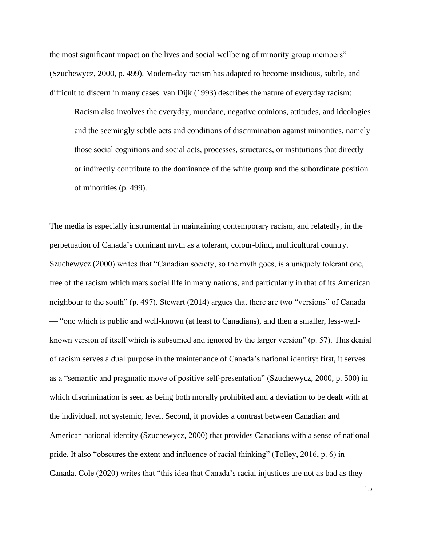the most significant impact on the lives and social wellbeing of minority group members" (Szuchewycz, 2000, p. 499). Modern-day racism has adapted to become insidious, subtle, and difficult to discern in many cases. van Dijk (1993) describes the nature of everyday racism:

Racism also involves the everyday, mundane, negative opinions, attitudes, and ideologies and the seemingly subtle acts and conditions of discrimination against minorities, namely those social cognitions and social acts, processes, structures, or institutions that directly or indirectly contribute to the dominance of the white group and the subordinate position of minorities (p. 499).

The media is especially instrumental in maintaining contemporary racism, and relatedly, in the perpetuation of Canada's dominant myth as a tolerant, colour-blind, multicultural country. Szuchewycz (2000) writes that "Canadian society, so the myth goes, is a uniquely tolerant one, free of the racism which mars social life in many nations, and particularly in that of its American neighbour to the south" (p. 497). Stewart (2014) argues that there are two "versions" of Canada — "one which is public and well-known (at least to Canadians), and then a smaller, less-wellknown version of itself which is subsumed and ignored by the larger version" (p. 57). This denial of racism serves a dual purpose in the maintenance of Canada's national identity: first, it serves as a "semantic and pragmatic move of positive self-presentation" (Szuchewycz, 2000, p. 500) in which discrimination is seen as being both morally prohibited and a deviation to be dealt with at the individual, not systemic, level. Second, it provides a contrast between Canadian and American national identity (Szuchewycz, 2000) that provides Canadians with a sense of national pride. It also "obscures the extent and influence of racial thinking" (Tolley, 2016, p. 6) in Canada. Cole (2020) writes that "this idea that Canada's racial injustices are not as bad as they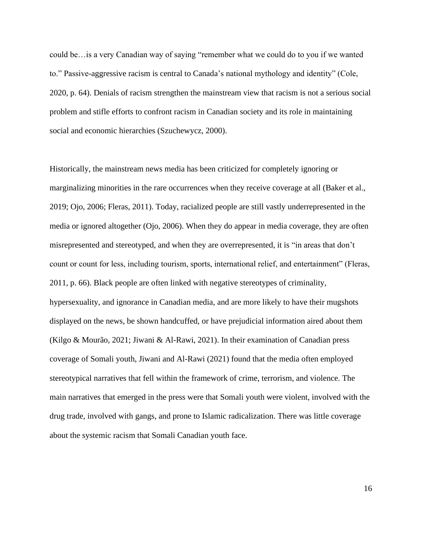could be…is a very Canadian way of saying "remember what we could do to you if we wanted to." Passive-aggressive racism is central to Canada's national mythology and identity" (Cole, 2020, p. 64). Denials of racism strengthen the mainstream view that racism is not a serious social problem and stifle efforts to confront racism in Canadian society and its role in maintaining social and economic hierarchies (Szuchewycz, 2000).

Historically, the mainstream news media has been criticized for completely ignoring or marginalizing minorities in the rare occurrences when they receive coverage at all (Baker et al., 2019; Ojo, 2006; Fleras, 2011). Today, racialized people are still vastly underrepresented in the media or ignored altogether (Ojo, 2006). When they do appear in media coverage, they are often misrepresented and stereotyped, and when they are overrepresented, it is "in areas that don't count or count for less, including tourism, sports, international relief, and entertainment" (Fleras, 2011, p. 66). Black people are often linked with negative stereotypes of criminality, hypersexuality, and ignorance in Canadian media, and are more likely to have their mugshots displayed on the news, be shown handcuffed, or have prejudicial information aired about them (Kilgo & Mourão, 2021; Jiwani & Al-Rawi, 2021). In their examination of Canadian press coverage of Somali youth, Jiwani and Al-Rawi (2021) found that the media often employed stereotypical narratives that fell within the framework of crime, terrorism, and violence. The main narratives that emerged in the press were that Somali youth were violent, involved with the drug trade, involved with gangs, and prone to Islamic radicalization. There was little coverage about the systemic racism that Somali Canadian youth face.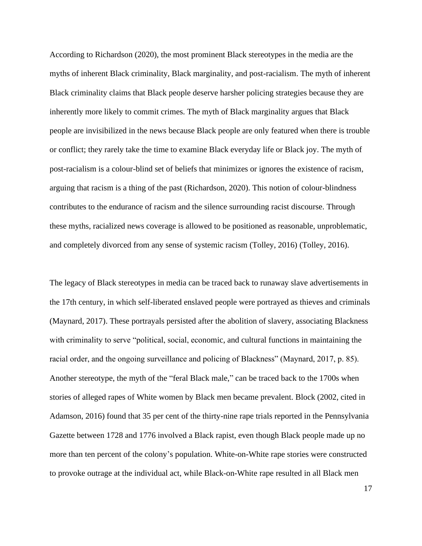According to Richardson (2020), the most prominent Black stereotypes in the media are the myths of inherent Black criminality, Black marginality, and post-racialism. The myth of inherent Black criminality claims that Black people deserve harsher policing strategies because they are inherently more likely to commit crimes. The myth of Black marginality argues that Black people are invisibilized in the news because Black people are only featured when there is trouble or conflict; they rarely take the time to examine Black everyday life or Black joy. The myth of post-racialism is a colour-blind set of beliefs that minimizes or ignores the existence of racism, arguing that racism is a thing of the past (Richardson, 2020). This notion of colour-blindness contributes to the endurance of racism and the silence surrounding racist discourse. Through these myths, racialized news coverage is allowed to be positioned as reasonable, unproblematic, and completely divorced from any sense of systemic racism (Tolley, 2016) (Tolley, 2016).

The legacy of Black stereotypes in media can be traced back to runaway slave advertisements in the 17th century, in which self-liberated enslaved people were portrayed as thieves and criminals (Maynard, 2017). These portrayals persisted after the abolition of slavery, associating Blackness with criminality to serve "political, social, economic, and cultural functions in maintaining the racial order, and the ongoing surveillance and policing of Blackness" (Maynard, 2017, p. 85). Another stereotype, the myth of the "feral Black male," can be traced back to the 1700s when stories of alleged rapes of White women by Black men became prevalent. Block (2002, cited in Adamson, 2016) found that 35 per cent of the thirty-nine rape trials reported in the Pennsylvania Gazette between 1728 and 1776 involved a Black rapist, even though Black people made up no more than ten percent of the colony's population. White-on-White rape stories were constructed to provoke outrage at the individual act, while Black-on-White rape resulted in all Black men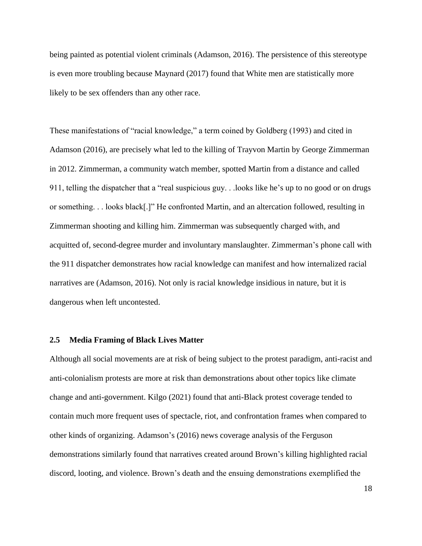being painted as potential violent criminals (Adamson, 2016). The persistence of this stereotype is even more troubling because Maynard (2017) found that White men are statistically more likely to be sex offenders than any other race.

These manifestations of "racial knowledge," a term coined by Goldberg (1993) and cited in Adamson (2016), are precisely what led to the killing of Trayvon Martin by George Zimmerman in 2012. Zimmerman, a community watch member, spotted Martin from a distance and called 911, telling the dispatcher that a "real suspicious guy. . .looks like he's up to no good or on drugs or something. . . looks black[.]" He confronted Martin, and an altercation followed, resulting in Zimmerman shooting and killing him. Zimmerman was subsequently charged with, and acquitted of, second-degree murder and involuntary manslaughter. Zimmerman's phone call with the 911 dispatcher demonstrates how racial knowledge can manifest and how internalized racial narratives are (Adamson, 2016). Not only is racial knowledge insidious in nature, but it is dangerous when left uncontested.

#### <span id="page-26-0"></span>**2.5 Media Framing of Black Lives Matter**

Although all social movements are at risk of being subject to the protest paradigm, anti-racist and anti-colonialism protests are more at risk than demonstrations about other topics like climate change and anti-government. Kilgo (2021) found that anti-Black protest coverage tended to contain much more frequent uses of spectacle, riot, and confrontation frames when compared to other kinds of organizing. Adamson's (2016) news coverage analysis of the Ferguson demonstrations similarly found that narratives created around Brown's killing highlighted racial discord, looting, and violence. Brown's death and the ensuing demonstrations exemplified the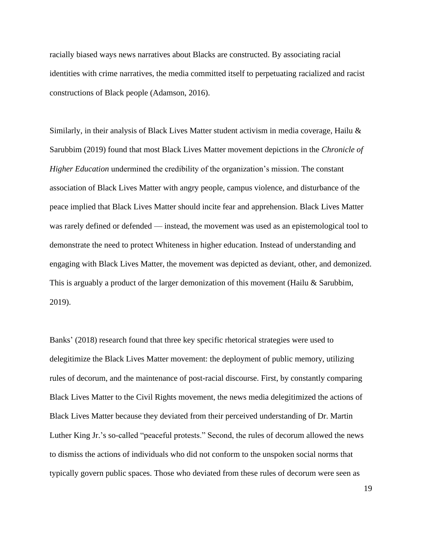racially biased ways news narratives about Blacks are constructed. By associating racial identities with crime narratives, the media committed itself to perpetuating racialized and racist constructions of Black people (Adamson, 2016).

Similarly, in their analysis of Black Lives Matter student activism in media coverage, Hailu & Sarubbim (2019) found that most Black Lives Matter movement depictions in the *Chronicle of Higher Education* undermined the credibility of the organization's mission. The constant association of Black Lives Matter with angry people, campus violence, and disturbance of the peace implied that Black Lives Matter should incite fear and apprehension. Black Lives Matter was rarely defined or defended — instead, the movement was used as an epistemological tool to demonstrate the need to protect Whiteness in higher education. Instead of understanding and engaging with Black Lives Matter, the movement was depicted as deviant, other, and demonized. This is arguably a product of the larger demonization of this movement (Hailu & Sarubbim, 2019).

Banks' (2018) research found that three key specific rhetorical strategies were used to delegitimize the Black Lives Matter movement: the deployment of public memory, utilizing rules of decorum, and the maintenance of post-racial discourse. First, by constantly comparing Black Lives Matter to the Civil Rights movement, the news media delegitimized the actions of Black Lives Matter because they deviated from their perceived understanding of Dr. Martin Luther King Jr.'s so-called "peaceful protests." Second, the rules of decorum allowed the news to dismiss the actions of individuals who did not conform to the unspoken social norms that typically govern public spaces. Those who deviated from these rules of decorum were seen as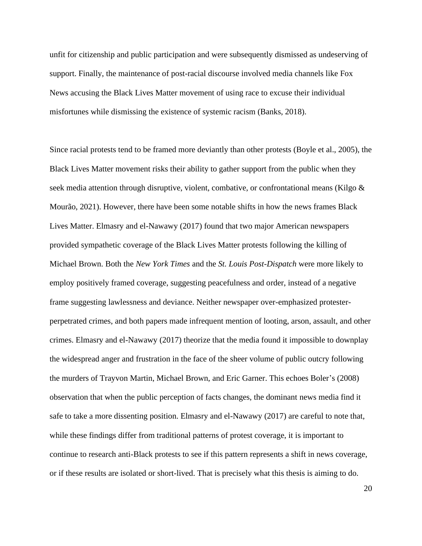unfit for citizenship and public participation and were subsequently dismissed as undeserving of support. Finally, the maintenance of post-racial discourse involved media channels like Fox News accusing the Black Lives Matter movement of using race to excuse their individual misfortunes while dismissing the existence of systemic racism (Banks, 2018).

Since racial protests tend to be framed more deviantly than other protests (Boyle et al., 2005), the Black Lives Matter movement risks their ability to gather support from the public when they seek media attention through disruptive, violent, combative, or confrontational means (Kilgo & Mourão, 2021). However, there have been some notable shifts in how the news frames Black Lives Matter. Elmasry and el-Nawawy (2017) found that two major American newspapers provided sympathetic coverage of the Black Lives Matter protests following the killing of Michael Brown. Both the *New York Times* and the *St. Louis Post-Dispatch* were more likely to employ positively framed coverage, suggesting peacefulness and order, instead of a negative frame suggesting lawlessness and deviance. Neither newspaper over-emphasized protesterperpetrated crimes, and both papers made infrequent mention of looting, arson, assault, and other crimes. Elmasry and el-Nawawy (2017) theorize that the media found it impossible to downplay the widespread anger and frustration in the face of the sheer volume of public outcry following the murders of Trayvon Martin, Michael Brown, and Eric Garner. This echoes Boler's (2008) observation that when the public perception of facts changes, the dominant news media find it safe to take a more dissenting position. Elmasry and el-Nawawy (2017) are careful to note that, while these findings differ from traditional patterns of protest coverage, it is important to continue to research anti-Black protests to see if this pattern represents a shift in news coverage, or if these results are isolated or short-lived. That is precisely what this thesis is aiming to do.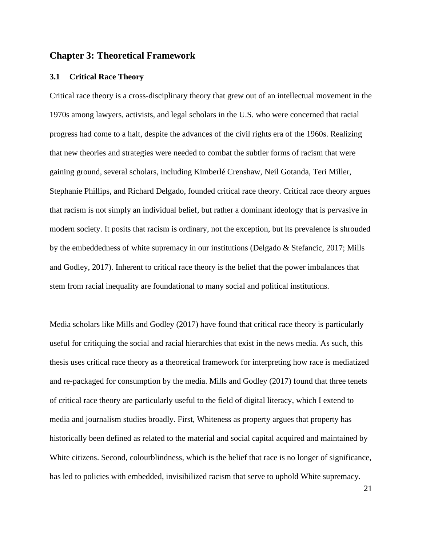## <span id="page-29-0"></span>**Chapter 3: Theoretical Framework**

#### <span id="page-29-1"></span>**3.1 Critical Race Theory**

Critical race theory is a cross-disciplinary theory that grew out of an intellectual movement in the 1970s among lawyers, activists, and legal scholars in the U.S. who were concerned that racial progress had come to a halt, despite the advances of the civil rights era of the 1960s. Realizing that new theories and strategies were needed to combat the subtler forms of racism that were gaining ground, several scholars, including Kimberlé Crenshaw, Neil Gotanda, Teri Miller, Stephanie Phillips, and Richard Delgado, founded critical race theory. Critical race theory argues that racism is not simply an individual belief, but rather a dominant ideology that is pervasive in modern society. It posits that racism is ordinary, not the exception, but its prevalence is shrouded by the embeddedness of white supremacy in our institutions (Delgado & Stefancic, 2017; Mills and Godley, 2017). Inherent to critical race theory is the belief that the power imbalances that stem from racial inequality are foundational to many social and political institutions.

Media scholars like Mills and Godley (2017) have found that critical race theory is particularly useful for critiquing the social and racial hierarchies that exist in the news media. As such, this thesis uses critical race theory as a theoretical framework for interpreting how race is mediatized and re-packaged for consumption by the media. Mills and Godley (2017) found that three tenets of critical race theory are particularly useful to the field of digital literacy, which I extend to media and journalism studies broadly. First, Whiteness as property argues that property has historically been defined as related to the material and social capital acquired and maintained by White citizens. Second, colourblindness, which is the belief that race is no longer of significance, has led to policies with embedded, invisibilized racism that serve to uphold White supremacy.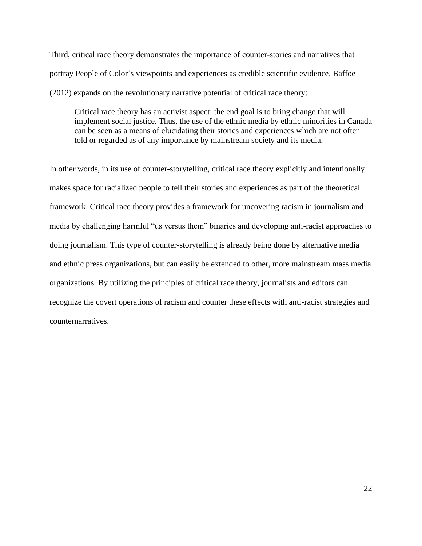Third, critical race theory demonstrates the importance of counter-stories and narratives that portray People of Color's viewpoints and experiences as credible scientific evidence. Baffoe (2012) expands on the revolutionary narrative potential of critical race theory:

Critical race theory has an activist aspect: the end goal is to bring change that will implement social justice. Thus, the use of the ethnic media by ethnic minorities in Canada can be seen as a means of elucidating their stories and experiences which are not often told or regarded as of any importance by mainstream society and its media.

In other words, in its use of counter-storytelling, critical race theory explicitly and intentionally makes space for racialized people to tell their stories and experiences as part of the theoretical framework. Critical race theory provides a framework for uncovering racism in journalism and media by challenging harmful "us versus them" binaries and developing anti-racist approaches to doing journalism. This type of counter-storytelling is already being done by alternative media and ethnic press organizations, but can easily be extended to other, more mainstream mass media organizations. By utilizing the principles of critical race theory, journalists and editors can recognize the covert operations of racism and counter these effects with anti-racist strategies and counternarratives.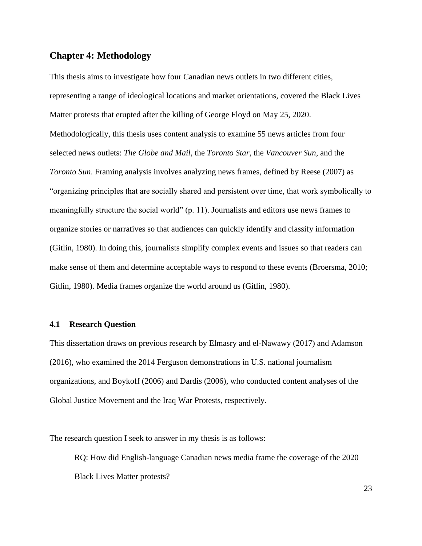## <span id="page-31-0"></span>**Chapter 4: Methodology**

This thesis aims to investigate how four Canadian news outlets in two different cities, representing a range of ideological locations and market orientations, covered the Black Lives Matter protests that erupted after the killing of George Floyd on May 25, 2020. Methodologically, this thesis uses content analysis to examine 55 news articles from four selected news outlets: *The Globe and Mail*, the *Toronto Star*, the *Vancouver Sun*, and the *Toronto Sun*. Framing analysis involves analyzing news frames, defined by Reese (2007) as "organizing principles that are socially shared and persistent over time, that work symbolically to meaningfully structure the social world" (p. 11). Journalists and editors use news frames to organize stories or narratives so that audiences can quickly identify and classify information (Gitlin, 1980). In doing this, journalists simplify complex events and issues so that readers can make sense of them and determine acceptable ways to respond to these events (Broersma, 2010; Gitlin, 1980). Media frames organize the world around us (Gitlin, 1980).

#### <span id="page-31-1"></span>**4.1 Research Question**

This dissertation draws on previous research by Elmasry and el-Nawawy (2017) and Adamson (2016), who examined the 2014 Ferguson demonstrations in U.S. national journalism organizations, and Boykoff (2006) and Dardis (2006), who conducted content analyses of the Global Justice Movement and the Iraq War Protests, respectively.

The research question I seek to answer in my thesis is as follows:

RQ: How did English-language Canadian news media frame the coverage of the 2020 Black Lives Matter protests?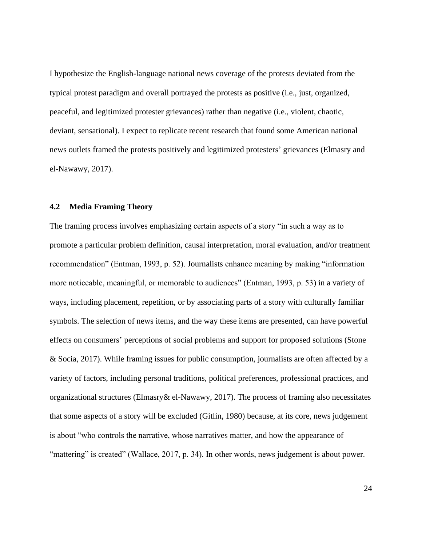I hypothesize the English-language national news coverage of the protests deviated from the typical protest paradigm and overall portrayed the protests as positive (i.e., just, organized, peaceful, and legitimized protester grievances) rather than negative (i.e., violent, chaotic, deviant, sensational). I expect to replicate recent research that found some American national news outlets framed the protests positively and legitimized protesters' grievances (Elmasry and el-Nawawy, 2017).

#### <span id="page-32-0"></span>**4.2 Media Framing Theory**

The framing process involves emphasizing certain aspects of a story "in such a way as to promote a particular problem definition, causal interpretation, moral evaluation, and/or treatment recommendation" (Entman, 1993, p. 52). Journalists enhance meaning by making "information more noticeable, meaningful, or memorable to audiences" (Entman, 1993, p. 53) in a variety of ways, including placement, repetition, or by associating parts of a story with culturally familiar symbols. The selection of news items, and the way these items are presented, can have powerful effects on consumers' perceptions of social problems and support for proposed solutions (Stone & Socia, 2017). While framing issues for public consumption, journalists are often affected by a variety of factors, including personal traditions, political preferences, professional practices, and organizational structures (Elmasry& el-Nawawy, 2017). The process of framing also necessitates that some aspects of a story will be excluded (Gitlin, 1980) because, at its core, news judgement is about "who controls the narrative, whose narratives matter, and how the appearance of "mattering" is created" (Wallace, 2017, p. 34). In other words, news judgement is about power.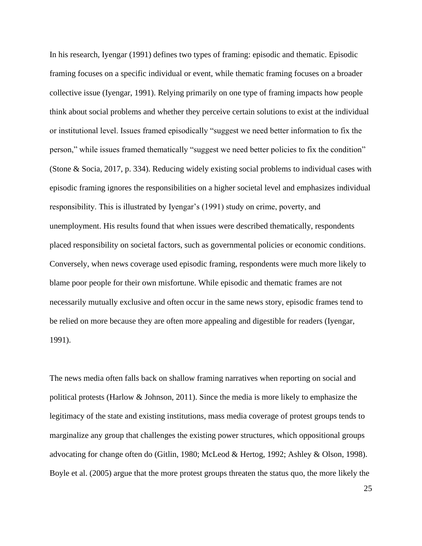In his research, Iyengar (1991) defines two types of framing: episodic and thematic. Episodic framing focuses on a specific individual or event, while thematic framing focuses on a broader collective issue (Iyengar, 1991). Relying primarily on one type of framing impacts how people think about social problems and whether they perceive certain solutions to exist at the individual or institutional level. Issues framed episodically "suggest we need better information to fix the person," while issues framed thematically "suggest we need better policies to fix the condition" (Stone & Socia, 2017, p. 334). Reducing widely existing social problems to individual cases with episodic framing ignores the responsibilities on a higher societal level and emphasizes individual responsibility. This is illustrated by Iyengar's (1991) study on crime, poverty, and unemployment. His results found that when issues were described thematically, respondents placed responsibility on societal factors, such as governmental policies or economic conditions. Conversely, when news coverage used episodic framing, respondents were much more likely to blame poor people for their own misfortune. While episodic and thematic frames are not necessarily mutually exclusive and often occur in the same news story, episodic frames tend to be relied on more because they are often more appealing and digestible for readers (Iyengar, 1991).

The news media often falls back on shallow framing narratives when reporting on social and political protests (Harlow & Johnson, 2011). Since the media is more likely to emphasize the legitimacy of the state and existing institutions, mass media coverage of protest groups tends to marginalize any group that challenges the existing power structures, which oppositional groups advocating for change often do (Gitlin, 1980; McLeod & Hertog, 1992; Ashley & Olson, 1998). Boyle et al. (2005) argue that the more protest groups threaten the status quo, the more likely the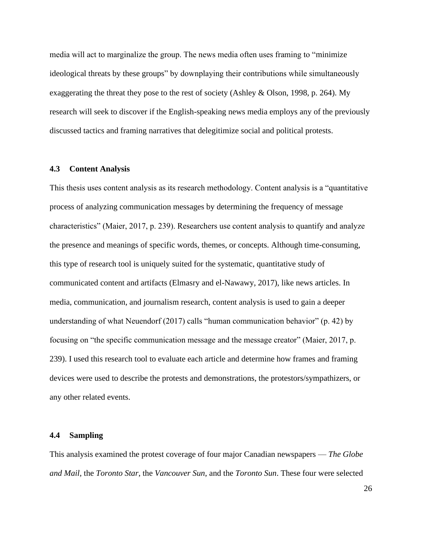media will act to marginalize the group. The news media often uses framing to "minimize ideological threats by these groups" by downplaying their contributions while simultaneously exaggerating the threat they pose to the rest of society (Ashley & Olson, 1998, p. 264). My research will seek to discover if the English-speaking news media employs any of the previously discussed tactics and framing narratives that delegitimize social and political protests.

#### <span id="page-34-0"></span>**4.3 Content Analysis**

This thesis uses content analysis as its research methodology. Content analysis is a "quantitative process of analyzing communication messages by determining the frequency of message characteristics" (Maier, 2017, p. 239). Researchers use content analysis to quantify and analyze the presence and meanings of specific words, themes, or concepts. Although time-consuming, this type of research tool is uniquely suited for the systematic, quantitative study of communicated content and artifacts (Elmasry and el-Nawawy, 2017), like news articles. In media, communication, and journalism research, content analysis is used to gain a deeper understanding of what Neuendorf (2017) calls "human communication behavior" (p. 42) by focusing on "the specific communication message and the message creator" (Maier, 2017, p. 239). I used this research tool to evaluate each article and determine how frames and framing devices were used to describe the protests and demonstrations, the protestors/sympathizers, or any other related events.

#### <span id="page-34-1"></span>**4.4 Sampling**

This analysis examined the protest coverage of four major Canadian newspapers — *The Globe and Mail*, the *Toronto Star*, the *Vancouver Sun*, and the *Toronto Sun*. These four were selected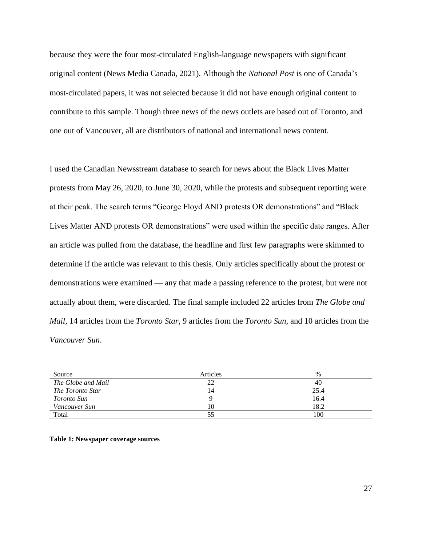because they were the four most-circulated English-language newspapers with significant original content (News Media Canada, 2021). Although the *National Post* is one of Canada's most-circulated papers, it was not selected because it did not have enough original content to contribute to this sample. Though three news of the news outlets are based out of Toronto, and one out of Vancouver, all are distributors of national and international news content.

I used the Canadian Newsstream database to search for news about the Black Lives Matter protests from May 26, 2020, to June 30, 2020, while the protests and subsequent reporting were at their peak. The search terms "George Floyd AND protests OR demonstrations" and "Black Lives Matter AND protests OR demonstrations" were used within the specific date ranges. After an article was pulled from the database, the headline and first few paragraphs were skimmed to determine if the article was relevant to this thesis. Only articles specifically about the protest or demonstrations were examined — any that made a passing reference to the protest, but were not actually about them, were discarded. The final sample included 22 articles from *The Globe and Mail*, 14 articles from the *Toronto Star*, 9 articles from the *Toronto Sun*, and 10 articles from the *Vancouver Sun*.

| Source             | Articles | $\%$ |
|--------------------|----------|------|
| The Globe and Mail | 22       | 40   |
| The Toronto Star   | 14       | 25.4 |
| <i>Toronto Sun</i> |          | 16.4 |
| Vancouver Sun      | 10       | 18.2 |
| Total              | 55       | 100  |

<span id="page-35-0"></span>**Table 1: Newspaper coverage sources**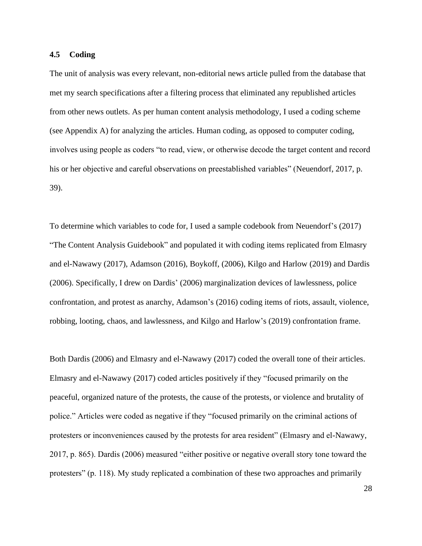#### **4.5 Coding**

The unit of analysis was every relevant, non-editorial news article pulled from the database that met my search specifications after a filtering process that eliminated any republished articles from other news outlets. As per human content analysis methodology, I used a coding scheme (see Appendix A) for analyzing the articles. Human coding, as opposed to computer coding, involves using people as coders "to read, view, or otherwise decode the target content and record his or her objective and careful observations on preestablished variables" (Neuendorf, 2017, p. 39).

To determine which variables to code for, I used a sample codebook from Neuendorf's (2017) "The Content Analysis Guidebook" and populated it with coding items replicated from Elmasry and el-Nawawy (2017), Adamson (2016), Boykoff, (2006), Kilgo and Harlow (2019) and Dardis (2006). Specifically, I drew on Dardis' (2006) marginalization devices of lawlessness, police confrontation, and protest as anarchy, Adamson's (2016) coding items of riots, assault, violence, robbing, looting, chaos, and lawlessness, and Kilgo and Harlow's (2019) confrontation frame.

Both Dardis (2006) and Elmasry and el-Nawawy (2017) coded the overall tone of their articles. Elmasry and el-Nawawy (2017) coded articles positively if they "focused primarily on the peaceful, organized nature of the protests, the cause of the protests, or violence and brutality of police." Articles were coded as negative if they "focused primarily on the criminal actions of protesters or inconveniences caused by the protests for area resident" (Elmasry and el-Nawawy, 2017, p. 865). Dardis (2006) measured "either positive or negative overall story tone toward the protesters" (p. 118). My study replicated a combination of these two approaches and primarily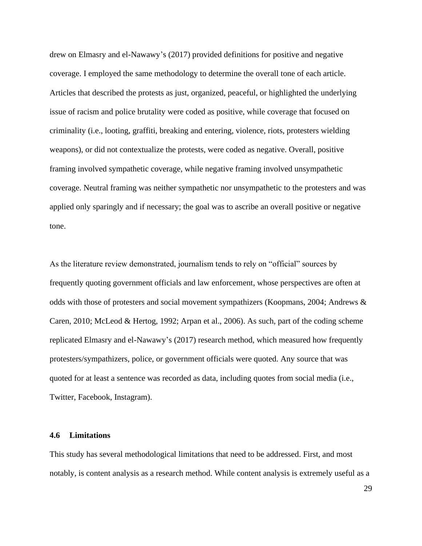drew on Elmasry and el-Nawawy's (2017) provided definitions for positive and negative coverage. I employed the same methodology to determine the overall tone of each article. Articles that described the protests as just, organized, peaceful, or highlighted the underlying issue of racism and police brutality were coded as positive, while coverage that focused on criminality (i.e., looting, graffiti, breaking and entering, violence, riots, protesters wielding weapons), or did not contextualize the protests, were coded as negative. Overall, positive framing involved sympathetic coverage, while negative framing involved unsympathetic coverage. Neutral framing was neither sympathetic nor unsympathetic to the protesters and was applied only sparingly and if necessary; the goal was to ascribe an overall positive or negative tone.

As the literature review demonstrated, journalism tends to rely on "official" sources by frequently quoting government officials and law enforcement, whose perspectives are often at odds with those of protesters and social movement sympathizers (Koopmans, 2004; Andrews & Caren, 2010; McLeod & Hertog, 1992; Arpan et al., 2006). As such, part of the coding scheme replicated Elmasry and el-Nawawy's (2017) research method, which measured how frequently protesters/sympathizers, police, or government officials were quoted. Any source that was quoted for at least a sentence was recorded as data, including quotes from social media (i.e., Twitter, Facebook, Instagram).

## **4.6 Limitations**

This study has several methodological limitations that need to be addressed. First, and most notably, is content analysis as a research method. While content analysis is extremely useful as a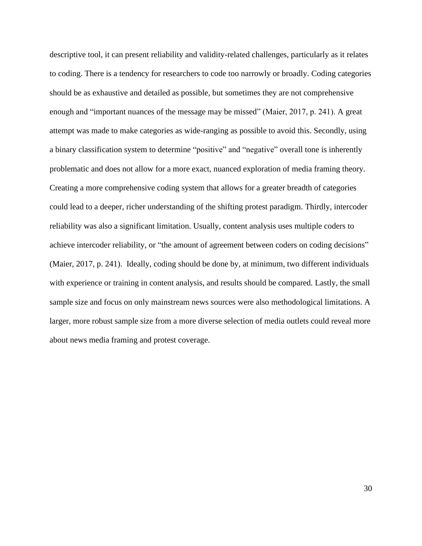descriptive tool, it can present reliability and validity-related challenges, particularly as it relates to coding. There is a tendency for researchers to code too narrowly or broadly. Coding categories should be as exhaustive and detailed as possible, but sometimes they are not comprehensive enough and "important nuances of the message may be missed" (Maier, 2017, p. 241). A great attempt was made to make categories as wide-ranging as possible to avoid this. Secondly, using a binary classification system to determine "positive" and "negative" overall tone is inherently problematic and does not allow for a more exact, nuanced exploration of media framing theory. Creating a more comprehensive coding system that allows for a greater breadth of categories could lead to a deeper, richer understanding of the shifting protest paradigm. Thirdly, intercoder reliability was also a significant limitation. Usually, content analysis uses multiple coders to achieve intercoder reliability, or "the amount of agreement between coders on coding decisions" (Maier, 2017, p. 241). Ideally, coding should be done by, at minimum, two different individuals with experience or training in content analysis, and results should be compared. Lastly, the small sample size and focus on only mainstream news sources were also methodological limitations. A larger, more robust sample size from a more diverse selection of media outlets could reveal more about news media framing and protest coverage.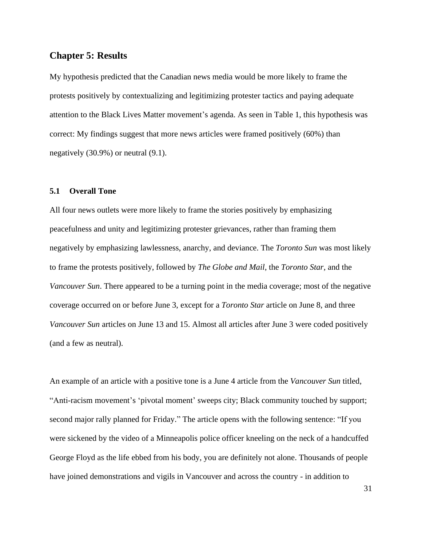# **Chapter 5: Results**

My hypothesis predicted that the Canadian news media would be more likely to frame the protests positively by contextualizing and legitimizing protester tactics and paying adequate attention to the Black Lives Matter movement's agenda. As seen in Table 1, this hypothesis was correct: My findings suggest that more news articles were framed positively (60%) than negatively (30.9%) or neutral (9.1).

### **5.1 Overall Tone**

All four news outlets were more likely to frame the stories positively by emphasizing peacefulness and unity and legitimizing protester grievances, rather than framing them negatively by emphasizing lawlessness, anarchy, and deviance. The *Toronto Sun* was most likely to frame the protests positively, followed by *The Globe and Mail*, the *Toronto Star*, and the *Vancouver Sun*. There appeared to be a turning point in the media coverage; most of the negative coverage occurred on or before June 3, except for a *Toronto Star* article on June 8, and three *Vancouver Sun* articles on June 13 and 15. Almost all articles after June 3 were coded positively (and a few as neutral).

An example of an article with a positive tone is a June 4 article from the *Vancouver Sun* titled, "Anti-racism movement's 'pivotal moment' sweeps city; Black community touched by support; second major rally planned for Friday." The article opens with the following sentence: "If you were sickened by the video of a Minneapolis police officer kneeling on the neck of a handcuffed George Floyd as the life ebbed from his body, you are definitely not alone. Thousands of people have joined demonstrations and vigils in Vancouver and across the country - in addition to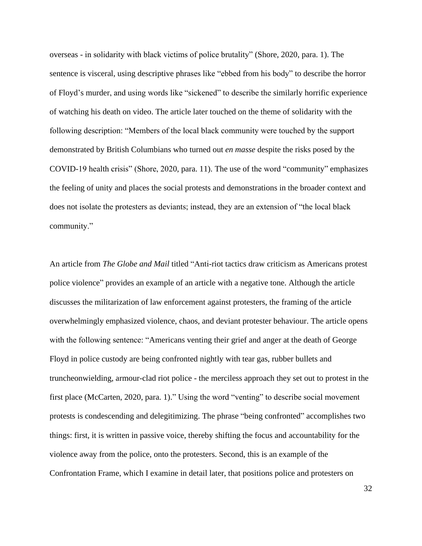overseas - in solidarity with black victims of police brutality" (Shore, 2020, para. 1). The sentence is visceral, using descriptive phrases like "ebbed from his body" to describe the horror of Floyd's murder, and using words like "sickened" to describe the similarly horrific experience of watching his death on video. The article later touched on the theme of solidarity with the following description: "Members of the local black community were touched by the support demonstrated by British Columbians who turned out *en masse* despite the risks posed by the COVID-19 health crisis" (Shore, 2020, para. 11). The use of the word "community" emphasizes the feeling of unity and places the social protests and demonstrations in the broader context and does not isolate the protesters as deviants; instead, they are an extension of "the local black community."

An article from *The Globe and Mail* titled "Anti-riot tactics draw criticism as Americans protest police violence" provides an example of an article with a negative tone. Although the article discusses the militarization of law enforcement against protesters, the framing of the article overwhelmingly emphasized violence, chaos, and deviant protester behaviour. The article opens with the following sentence: "Americans venting their grief and anger at the death of George Floyd in police custody are being confronted nightly with tear gas, rubber bullets and truncheonwielding, armour-clad riot police - the merciless approach they set out to protest in the first place (McCarten, 2020, para. 1)." Using the word "venting" to describe social movement protests is condescending and delegitimizing. The phrase "being confronted" accomplishes two things: first, it is written in passive voice, thereby shifting the focus and accountability for the violence away from the police, onto the protesters. Second, this is an example of the Confrontation Frame, which I examine in detail later, that positions police and protesters on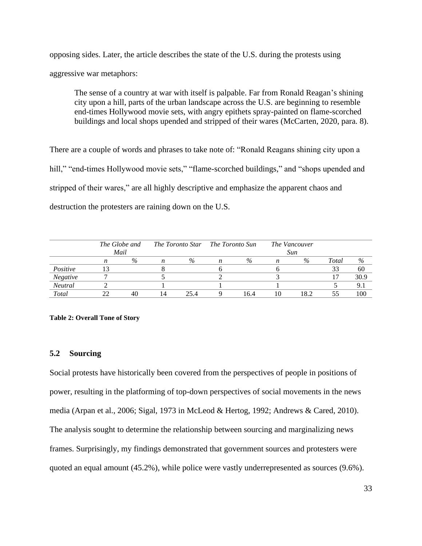opposing sides. Later, the article describes the state of the U.S. during the protests using aggressive war metaphors:

The sense of a country at war with itself is palpable. Far from Ronald Reagan's shining city upon a hill, parts of the urban landscape across the U.S. are beginning to resemble end-times Hollywood movie sets, with angry epithets spray-painted on flame-scorched buildings and local shops upended and stripped of their wares (McCarten, 2020, para. 8).

There are a couple of words and phrases to take note of: "Ronald Reagans shining city upon a hill," "end-times Hollywood movie sets," "flame-scorched buildings," and "shops upended and stripped of their wares," are all highly descriptive and emphasize the apparent chaos and destruction the protesters are raining down on the U.S.

|                | The Globe and<br>Mail |      |    | The Toronto Star | The Toronto Sun |      | The Vancouver<br>Sun |      |       |      |
|----------------|-----------------------|------|----|------------------|-----------------|------|----------------------|------|-------|------|
|                |                       | $\%$ | n  | $\%$             |                 | $\%$ |                      | $\%$ | Total | $\%$ |
| Positive       |                       |      |    |                  |                 |      |                      |      | 33    | 60   |
| Negative       |                       |      |    |                  |                 |      |                      |      |       | 30.9 |
| <b>Neutral</b> |                       |      |    |                  |                 |      |                      |      |       | 9.1  |
| Total          |                       |      | 14 | 25.4             |                 | 16.4 |                      | 18.2 |       | 100  |

#### **Table 2: Overall Tone of Story**

# **5.2 Sourcing**

Social protests have historically been covered from the perspectives of people in positions of power, resulting in the platforming of top-down perspectives of social movements in the news media (Arpan et al., 2006; Sigal, 1973 in McLeod & Hertog, 1992; Andrews & Cared, 2010). The analysis sought to determine the relationship between sourcing and marginalizing news frames. Surprisingly, my findings demonstrated that government sources and protesters were quoted an equal amount (45.2%), while police were vastly underrepresented as sources (9.6%).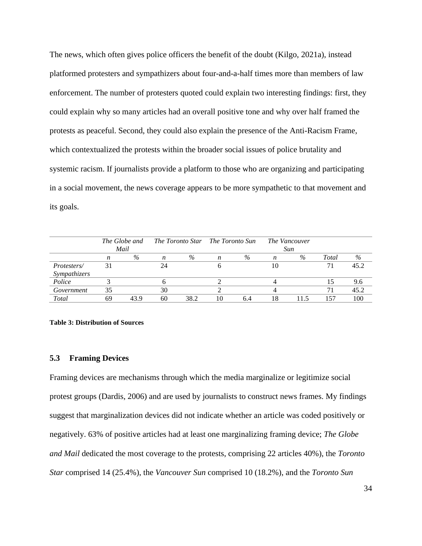The news, which often gives police officers the benefit of the doubt (Kilgo, 2021a), instead platformed protesters and sympathizers about four-and-a-half times more than members of law enforcement. The number of protesters quoted could explain two interesting findings: first, they could explain why so many articles had an overall positive tone and why over half framed the protests as peaceful. Second, they could also explain the presence of the Anti-Racism Frame, which contextualized the protests within the broader social issues of police brutality and systemic racism. If journalists provide a platform to those who are organizing and participating in a social movement, the news coverage appears to be more sympathetic to that movement and its goals.

|                                     |    | The Globe and<br>Mail |    | The Toronto Star The Toronto Sun |                  |      |    | <b>The Vancouver</b><br>Sun |       |      |
|-------------------------------------|----|-----------------------|----|----------------------------------|------------------|------|----|-----------------------------|-------|------|
|                                     | n  | $\%$                  | n  | $\%$                             | $\boldsymbol{n}$ | $\%$ | n  | $\%$                        | Total | $\%$ |
| <i>Protesters</i> /<br>Sympathizers |    |                       | 24 |                                  |                  |      | 10 |                             |       | 45.2 |
| Police                              |    |                       |    |                                  |                  |      |    |                             |       | 9.6  |
| Government                          | 35 |                       | 30 |                                  |                  |      |    |                             |       | 45.2 |
| Total                               | 69 | 43.9                  | 60 | 38.2                             | 10               | 6.4  | 18 |                             | 157   | 100  |

#### **Table 3: Distribution of Sources**

## **5.3 Framing Devices**

Framing devices are mechanisms through which the media marginalize or legitimize social protest groups (Dardis, 2006) and are used by journalists to construct news frames. My findings suggest that marginalization devices did not indicate whether an article was coded positively or negatively. 63% of positive articles had at least one marginalizing framing device; *The Globe and Mail* dedicated the most coverage to the protests, comprising 22 articles 40%), the *Toronto Star* comprised 14 (25.4%), the *Vancouver Sun* comprised 10 (18.2%), and the *Toronto Sun*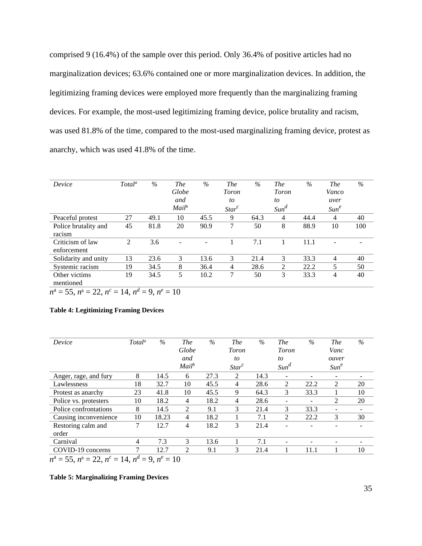comprised 9 (16.4%) of the sample over this period. Only 36.4% of positive articles had no marginalization devices; 63.6% contained one or more marginalization devices. In addition, the legitimizing framing devices were employed more frequently than the marginalizing framing devices. For example, the most-used legitimizing framing device, police brutality and racism, was used 81.8% of the time, compared to the most-used marginalizing framing device, protest as anarchy, which was used 41.8% of the time.

| Device               | Total <sup>a</sup> | $\%$ | <b>The</b>        | $\%$ | <i>The</i> | $\%$ | <b>The</b>     | $\%$ | <b>The</b>       | $\%$ |
|----------------------|--------------------|------|-------------------|------|------------|------|----------------|------|------------------|------|
|                      |                    |      | Globe             |      | Toron      |      | <b>Toron</b>   |      | Vanco            |      |
|                      |                    |      | and               |      | to         |      | to             |      | uver             |      |
|                      |                    |      | Mail <sup>b</sup> |      | $Star^c$   |      | $Sum^d$        |      | Sum <sup>e</sup> |      |
| Peaceful protest     | 27                 | 49.1 | 10                | 45.5 | 9          | 64.3 | $\overline{4}$ | 44.4 | $\overline{4}$   | 40   |
| Police brutality and | 45                 | 81.8 | 20                | 90.9 | 7          | 50   | 8              | 88.9 | 10               | 100  |
| racism               |                    |      |                   |      |            |      |                |      |                  |      |
| Criticism of law     | 2                  | 3.6  |                   |      |            | 7.1  |                | 11.1 |                  |      |
| enforcement          |                    |      |                   |      |            |      |                |      |                  |      |
| Solidarity and unity | 13                 | 23.6 | 3                 | 13.6 | 3          | 21.4 | 3              | 33.3 | 4                | 40   |
| Systemic racism      | 19                 | 34.5 | 8                 | 36.4 | 4          | 28.6 | 2              | 22.2 | 5                | 50   |
| Other victims        | 19                 | 34.5 | 5                 | 10.2 | 7          | 50   | 3              | 33.3 | 4                | 40   |
| mentioned            |                    |      |                   |      |            |      |                |      |                  |      |

 $n^{\text{a}} = 55$ ,  $n^{\text{b}} = 22$ ,  $n^{\text{c}} = 14$ ,  $n^{\text{d}} = 9$ ,  $n^{\text{e}} = 10$ 

#### **Table 4: Legitimizing Framing Devices**

| Device                                                        | Total <sup>a</sup> | $\%$  | <b>The</b>        | $\%$ | <b>The</b>   | $\%$ | <b>The</b>               | $\%$ | <b>The</b>       | $\%$ |
|---------------------------------------------------------------|--------------------|-------|-------------------|------|--------------|------|--------------------------|------|------------------|------|
|                                                               |                    |       | Globe             |      | <b>Toron</b> |      | <b>Toron</b>             |      | Vanc             |      |
|                                                               |                    |       | and               |      | to           |      | to                       |      | ouver            |      |
|                                                               |                    |       | Mail <sup>b</sup> |      | $Star^c$     |      | Sum <sup>d</sup>         |      | Sum <sup>e</sup> |      |
| Anger, rage, and fury                                         | 8                  | 14.5  | 6                 | 27.3 | 2            | 14.3 | $\qquad \qquad -$        |      |                  |      |
| Lawlessness                                                   | 18                 | 32.7  | 10                | 45.5 | 4            | 28.6 | 2                        | 22.2 | 2                | 20   |
| Protest as anarchy                                            | 23                 | 41.8  | 10                | 45.5 | 9            | 64.3 | 3                        | 33.3 |                  | 10   |
| Police vs. protesters                                         | 10                 | 18.2  | 4                 | 18.2 | 4            | 28.6 |                          |      | 2                | 20   |
| Police confrontations                                         | 8                  | 14.5  | 2                 | 9.1  | 3            | 21.4 | 3                        | 33.3 |                  |      |
| Causing inconvenience                                         | 10                 | 18.23 | 4                 | 18.2 |              | 7.1  | 2                        | 22.2 | 3                | 30   |
| Restoring calm and                                            | 7                  | 12.7  | 4                 | 18.2 | 3            | 21.4 |                          |      |                  |      |
| order                                                         |                    |       |                   |      |              |      |                          |      |                  |      |
| Carnival                                                      | 4                  | 7.3   | 3                 | 13.6 |              | 7.1  | $\overline{\phantom{a}}$ |      | -                |      |
| COVID-19 concerns                                             | 7                  | 12.7  | 2                 | 9.1  | 3            | 21.4 |                          | 11.1 |                  | 10   |
| $n^a = 55$ , $n^b = 22$ , $n^c = 14$ , $n^d = 9$ , $n^e = 10$ |                    |       |                   |      |              |      |                          |      |                  |      |

#### **Table 5: Marginalizing Framing Devices**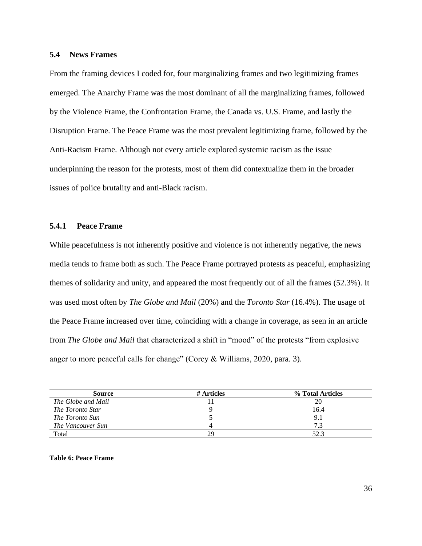## **5.4 News Frames**

From the framing devices I coded for, four marginalizing frames and two legitimizing frames emerged. The Anarchy Frame was the most dominant of all the marginalizing frames, followed by the Violence Frame, the Confrontation Frame, the Canada vs. U.S. Frame, and lastly the Disruption Frame. The Peace Frame was the most prevalent legitimizing frame, followed by the Anti-Racism Frame. Although not every article explored systemic racism as the issue underpinning the reason for the protests, most of them did contextualize them in the broader issues of police brutality and anti-Black racism.

# **5.4.1 Peace Frame**

While peacefulness is not inherently positive and violence is not inherently negative, the news media tends to frame both as such. The Peace Frame portrayed protests as peaceful, emphasizing themes of solidarity and unity, and appeared the most frequently out of all the frames (52.3%). It was used most often by *The Globe and Mail* (20%) and the *Toronto Star* (16.4%). The usage of the Peace Frame increased over time, coinciding with a change in coverage, as seen in an article from *The Globe and Mail* that characterized a shift in "mood" of the protests "from explosive anger to more peaceful calls for change" (Corey & Williams, 2020, para. 3).

| <b>Source</b>      | # Articles | % Total Articles |
|--------------------|------------|------------------|
| The Globe and Mail |            | 20               |
| The Toronto Star   |            | 16.4             |
| The Toronto Sun    |            | 9.1              |
| The Vancouver Sun  |            | 7.3              |
| Total              | 29         | 52.3             |

**Table 6: Peace Frame**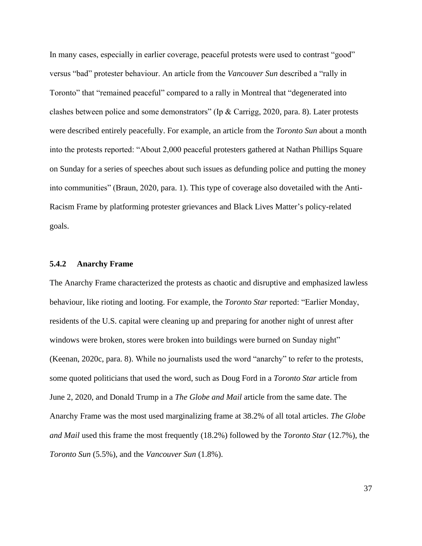In many cases, especially in earlier coverage, peaceful protests were used to contrast "good" versus "bad" protester behaviour. An article from the *Vancouver Sun* described a "rally in Toronto" that "remained peaceful" compared to a rally in Montreal that "degenerated into clashes between police and some demonstrators" (Ip & Carrigg, 2020, para. 8). Later protests were described entirely peacefully. For example, an article from the *Toronto Sun* about a month into the protests reported: "About 2,000 peaceful protesters gathered at Nathan Phillips Square on Sunday for a series of speeches about such issues as defunding police and putting the money into communities" (Braun, 2020, para. 1). This type of coverage also dovetailed with the Anti-Racism Frame by platforming protester grievances and Black Lives Matter's policy-related goals.

## **5.4.2 Anarchy Frame**

The Anarchy Frame characterized the protests as chaotic and disruptive and emphasized lawless behaviour, like rioting and looting. For example, the *Toronto Star* reported: "Earlier Monday, residents of the U.S. capital were cleaning up and preparing for another night of unrest after windows were broken, stores were broken into buildings were burned on Sunday night" (Keenan, 2020c, para. 8). While no journalists used the word "anarchy" to refer to the protests, some quoted politicians that used the word, such as Doug Ford in a *Toronto Star* article from June 2, 2020, and Donald Trump in a *The Globe and Mail* article from the same date. The Anarchy Frame was the most used marginalizing frame at 38.2% of all total articles. *The Globe and Mail* used this frame the most frequently (18.2%) followed by the *Toronto Star* (12.7%), the *Toronto Sun* (5.5%), and the *Vancouver Sun* (1.8%).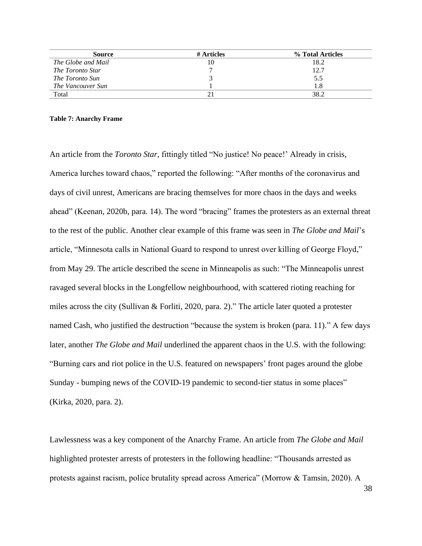| <b>Source</b>           | # Articles | % Total Articles |
|-------------------------|------------|------------------|
| The Globe and Mail      |            | 18.2             |
| <i>The Toronto Star</i> |            | 12.7             |
| The Toronto Sun         |            | 5.5              |
| The Vancouver Sun       |            | 1.8              |
| Total                   |            | 38.2             |

#### **Table 7: Anarchy Frame**

An article from the *Toronto Star*, fittingly titled "No justice! No peace!' Already in crisis, America lurches toward chaos," reported the following: "After months of the coronavirus and days of civil unrest, Americans are bracing themselves for more chaos in the days and weeks ahead" (Keenan, 2020b, para. 14). The word "bracing" frames the protesters as an external threat to the rest of the public. Another clear example of this frame was seen in *The Globe and Mail*'s article, "Minnesota calls in National Guard to respond to unrest over killing of George Floyd," from May 29. The article described the scene in Minneapolis as such: "The Minneapolis unrest ravaged several blocks in the Longfellow neighbourhood, with scattered rioting reaching for miles across the city (Sullivan & Forliti, 2020, para. 2)." The article later quoted a protester named Cash, who justified the destruction "because the system is broken (para. 11)." A few days later, another *The Globe and Mail* underlined the apparent chaos in the U.S. with the following: "Burning cars and riot police in the U.S. featured on newspapers' front pages around the globe Sunday - bumping news of the COVID-19 pandemic to second-tier status in some places" (Kirka, 2020, para. 2).

Lawlessness was a key component of the Anarchy Frame. An article from *The Globe and Mail* highlighted protester arrests of protesters in the following headline: "Thousands arrested as protests against racism, police brutality spread across America" (Morrow & Tamsin, 2020). A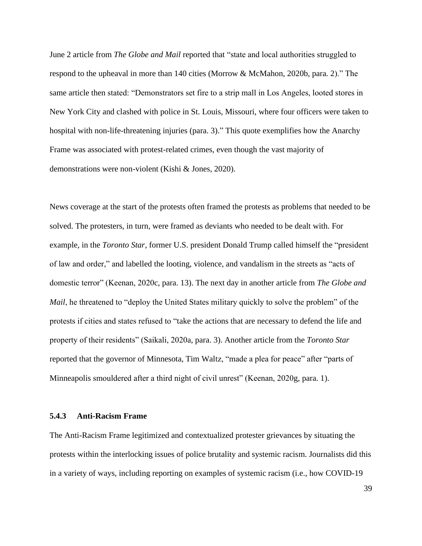June 2 article from *The Globe and Mail* reported that "state and local authorities struggled to respond to the upheaval in more than 140 cities (Morrow & McMahon, 2020b, para. 2)." The same article then stated: "Demonstrators set fire to a strip mall in Los Angeles, looted stores in New York City and clashed with police in St. Louis, Missouri, where four officers were taken to hospital with non-life-threatening injuries (para. 3)." This quote exemplifies how the Anarchy Frame was associated with protest-related crimes, even though the vast majority of demonstrations were non-violent (Kishi & Jones, 2020).

News coverage at the start of the protests often framed the protests as problems that needed to be solved. The protesters, in turn, were framed as deviants who needed to be dealt with. For example, in the *Toronto Star*, former U.S. president Donald Trump called himself the "president of law and order," and labelled the looting, violence, and vandalism in the streets as "acts of domestic terror" (Keenan, 2020c, para. 13). The next day in another article from *The Globe and Mail*, he threatened to "deploy the United States military quickly to solve the problem" of the protests if cities and states refused to "take the actions that are necessary to defend the life and property of their residents" (Saikali, 2020a, para. 3). Another article from the *Toronto Star* reported that the governor of Minnesota, Tim Waltz, "made a plea for peace" after "parts of Minneapolis smouldered after a third night of civil unrest" (Keenan, 2020g, para. 1).

### **5.4.3 Anti-Racism Frame**

The Anti-Racism Frame legitimized and contextualized protester grievances by situating the protests within the interlocking issues of police brutality and systemic racism. Journalists did this in a variety of ways, including reporting on examples of systemic racism (i.e., how COVID-19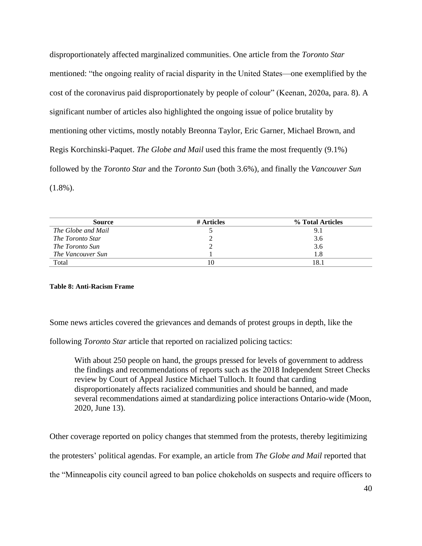disproportionately affected marginalized communities. One article from the *Toronto Star* mentioned: "the ongoing reality of racial disparity in the United States—one exemplified by the cost of the coronavirus paid disproportionately by people of colour" (Keenan, 2020a, para. 8). A significant number of articles also highlighted the ongoing issue of police brutality by mentioning other victims, mostly notably Breonna Taylor, Eric Garner, Michael Brown, and Regis Korchinski-Paquet. *The Globe and Mail* used this frame the most frequently (9.1%) followed by the *Toronto Star* and the *Toronto Sun* (both 3.6%), and finally the *Vancouver Sun* (1.8%).

| <b>Source</b>          | # Articles | % Total Articles |
|------------------------|------------|------------------|
| The Globe and Mail     |            | 9.1              |
| The Toronto Star       |            | 3.6              |
| <i>The Toronto Sun</i> |            | 3.6              |
| The Vancouver Sun      |            | 1.8              |
| Total                  |            | 18.              |

#### **Table 8: Anti-Racism Frame**

Some news articles covered the grievances and demands of protest groups in depth, like the

following *Toronto Star* article that reported on racialized policing tactics:

With about 250 people on hand, the groups pressed for levels of government to address the findings and recommendations of reports such as the 2018 Independent Street Checks review by Court of Appeal Justice Michael Tulloch. It found that carding disproportionately affects racialized communities and should be banned, and made several recommendations aimed at standardizing police interactions Ontario-wide (Moon, 2020, June 13).

Other coverage reported on policy changes that stemmed from the protests, thereby legitimizing the protesters' political agendas. For example, an article from *The Globe and Mail* reported that the "Minneapolis city council agreed to ban police chokeholds on suspects and require officers to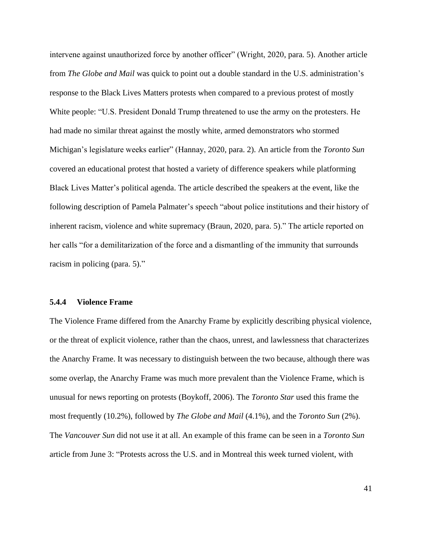intervene against unauthorized force by another officer" (Wright, 2020, para. 5). Another article from *The Globe and Mail* was quick to point out a double standard in the U.S. administration's response to the Black Lives Matters protests when compared to a previous protest of mostly White people: "U.S. President Donald Trump threatened to use the army on the protesters. He had made no similar threat against the mostly white, armed demonstrators who stormed Michigan's legislature weeks earlier" (Hannay, 2020, para. 2). An article from the *Toronto Sun* covered an educational protest that hosted a variety of difference speakers while platforming Black Lives Matter's political agenda. The article described the speakers at the event, like the following description of Pamela Palmater's speech "about police institutions and their history of inherent racism, violence and white supremacy (Braun, 2020, para. 5)." The article reported on her calls "for a demilitarization of the force and a dismantling of the immunity that surrounds racism in policing (para. 5)."

#### **5.4.4 Violence Frame**

The Violence Frame differed from the Anarchy Frame by explicitly describing physical violence, or the threat of explicit violence, rather than the chaos, unrest, and lawlessness that characterizes the Anarchy Frame. It was necessary to distinguish between the two because, although there was some overlap, the Anarchy Frame was much more prevalent than the Violence Frame, which is unusual for news reporting on protests (Boykoff, 2006). The *Toronto Star* used this frame the most frequently (10.2%), followed by *The Globe and Mail* (4.1%), and the *Toronto Sun* (2%). The *Vancouver Sun* did not use it at all. An example of this frame can be seen in a *Toronto Sun* article from June 3: "Protests across the U.S. and in Montreal this week turned violent, with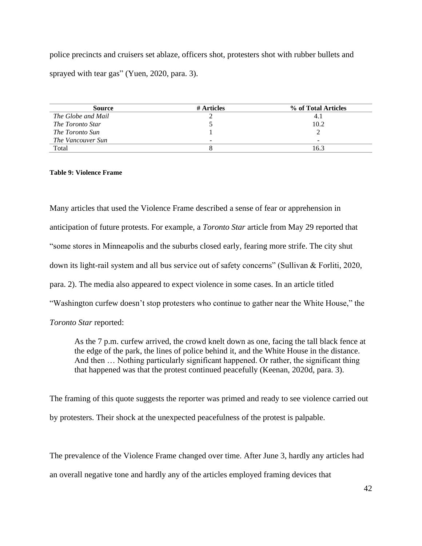police precincts and cruisers set ablaze, officers shot, protesters shot with rubber bullets and sprayed with tear gas" (Yuen, 2020, para. 3).

| <b>Source</b>      | # Articles               | % of Total Articles |
|--------------------|--------------------------|---------------------|
| The Globe and Mail |                          | 4.1                 |
| The Toronto Star   |                          | 10.2                |
| The Toronto Sun    |                          |                     |
| The Vancouver Sun  | $\overline{\phantom{a}}$ | -                   |
| Total              |                          | 16.3                |

**Table 9: Violence Frame**

Many articles that used the Violence Frame described a sense of fear or apprehension in anticipation of future protests. For example, a *Toronto Star* article from May 29 reported that "some stores in Minneapolis and the suburbs closed early, fearing more strife. The city shut down its light-rail system and all bus service out of safety concerns" (Sullivan & Forliti, 2020, para. 2). The media also appeared to expect violence in some cases. In an article titled "Washington curfew doesn't stop protesters who continue to gather near the White House," the *Toronto Star* reported:

As the 7 p.m. curfew arrived, the crowd knelt down as one, facing the tall black fence at the edge of the park, the lines of police behind it, and the White House in the distance. And then ... Nothing particularly significant happened. Or rather, the significant thing that happened was that the protest continued peacefully (Keenan, 2020d, para. 3).

The framing of this quote suggests the reporter was primed and ready to see violence carried out by protesters. Their shock at the unexpected peacefulness of the protest is palpable.

The prevalence of the Violence Frame changed over time. After June 3, hardly any articles had an overall negative tone and hardly any of the articles employed framing devices that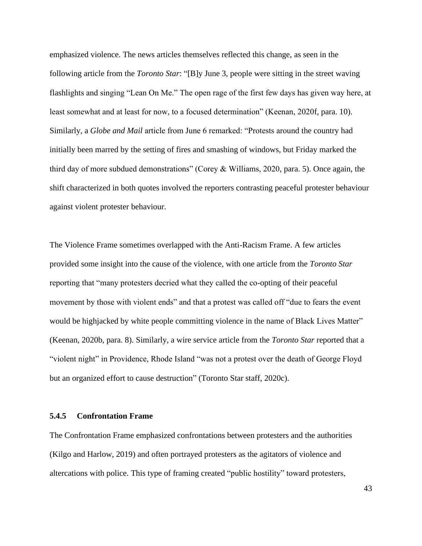emphasized violence. The news articles themselves reflected this change, as seen in the following article from the *Toronto Star*: "[B]y June 3, people were sitting in the street waving flashlights and singing "Lean On Me." The open rage of the first few days has given way here, at least somewhat and at least for now, to a focused determination" (Keenan, 2020f, para. 10). Similarly, a *Globe and Mail* article from June 6 remarked: "Protests around the country had initially been marred by the setting of fires and smashing of windows, but Friday marked the third day of more subdued demonstrations" (Corey & Williams, 2020, para. 5). Once again, the shift characterized in both quotes involved the reporters contrasting peaceful protester behaviour against violent protester behaviour.

The Violence Frame sometimes overlapped with the Anti-Racism Frame. A few articles provided some insight into the cause of the violence, with one article from the *Toronto Star* reporting that "many protesters decried what they called the co-opting of their peaceful movement by those with violent ends" and that a protest was called off "due to fears the event would be highjacked by white people committing violence in the name of Black Lives Matter" (Keenan, 2020b, para. 8). Similarly, a wire service article from the *Toronto Star* reported that a "violent night" in Providence, Rhode Island "was not a protest over the death of George Floyd but an organized effort to cause destruction" (Toronto Star staff, 2020c).

## **5.4.5 Confrontation Frame**

The Confrontation Frame emphasized confrontations between protesters and the authorities (Kilgo and Harlow, 2019) and often portrayed protesters as the agitators of violence and altercations with police. This type of framing created "public hostility" toward protesters,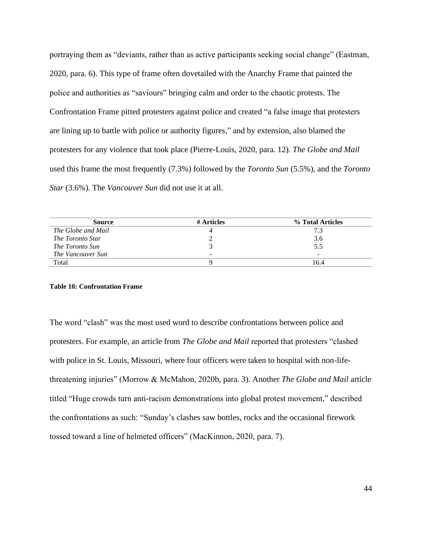portraying them as "deviants, rather than as active participants seeking social change" (Eastman, 2020, para. 6). This type of frame often dovetailed with the Anarchy Frame that painted the police and authorities as "saviours" bringing calm and order to the chaotic protests. The Confrontation Frame pitted protesters against police and created "a false image that protesters are lining up to battle with police or authority figures," and by extension, also blamed the protesters for any violence that took place (Pierre-Louis, 2020, para. 12). *The Globe and Mail* used this frame the most frequently (7.3%) followed by the *Toronto Sun* (5.5%), and the *Toronto Star* (3.6%). The *Vancouver Sun* did not use it at all.

| <b>Source</b>      | # Articles | % Total Articles |
|--------------------|------------|------------------|
| The Globe and Mail |            | 7.3              |
| The Toronto Star   |            | 3.6              |
| The Toronto Sun    |            | 5.5              |
| The Vancouver Sun  | -          | $\sim$           |
| Total              |            | 16.4             |

#### **Table 10: Confrontation Frame**

The word "clash" was the most used word to describe confrontations between police and protesters. For example, an article from *The Globe and Mail* reported that protesters "clashed with police in St. Louis, Missouri, where four officers were taken to hospital with non-lifethreatening injuries" (Morrow & McMahon, 2020b, para. 3). Another *The Globe and Mail* article titled "Huge crowds turn anti-racism demonstrations into global protest movement," described the confrontations as such: "Sunday's clashes saw bottles, rocks and the occasional firework tossed toward a line of helmeted officers" (MacKinnon, 2020, para. 7).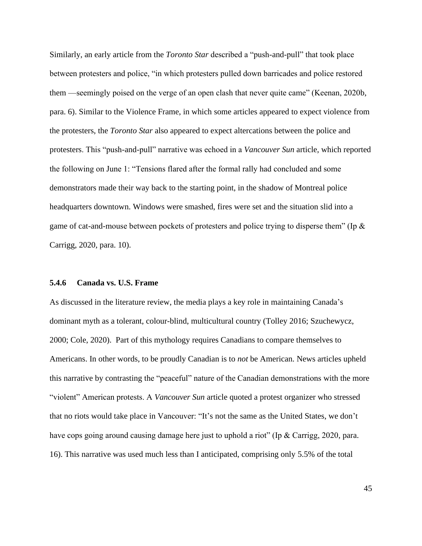Similarly, an early article from the *Toronto Star* described a "push-and-pull" that took place between protesters and police, "in which protesters pulled down barricades and police restored them —seemingly poised on the verge of an open clash that never quite came" (Keenan, 2020b, para. 6). Similar to the Violence Frame, in which some articles appeared to expect violence from the protesters, the *Toronto Star* also appeared to expect altercations between the police and protesters. This "push-and-pull" narrative was echoed in a *Vancouver Sun* article, which reported the following on June 1: "Tensions flared after the formal rally had concluded and some demonstrators made their way back to the starting point, in the shadow of Montreal police headquarters downtown. Windows were smashed, fires were set and the situation slid into a game of cat-and-mouse between pockets of protesters and police trying to disperse them" (Ip & Carrigg, 2020, para. 10).

#### **5.4.6 Canada vs. U.S. Frame**

As discussed in the literature review, the media plays a key role in maintaining Canada's dominant myth as a tolerant, colour-blind, multicultural country (Tolley 2016; Szuchewycz, 2000; Cole, 2020). Part of this mythology requires Canadians to compare themselves to Americans. In other words, to be proudly Canadian is to *not* be American. News articles upheld this narrative by contrasting the "peaceful" nature of the Canadian demonstrations with the more "violent" American protests. A *Vancouver Sun* article quoted a protest organizer who stressed that no riots would take place in Vancouver: "It's not the same as the United States, we don't have cops going around causing damage here just to uphold a riot" (Ip & Carrigg, 2020, para. 16). This narrative was used much less than I anticipated, comprising only 5.5% of the total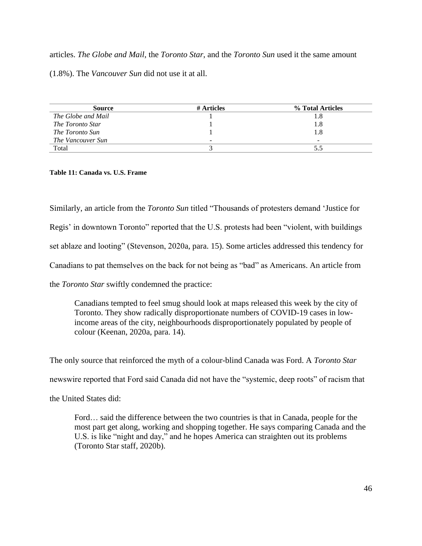articles. *The Globe and Mail*, the *Toronto Star*, and the *Toronto Sun* used it the same amount (1.8%). The *Vancouver Sun* did not use it at all.

| Source             | # Articles | % Total Articles |
|--------------------|------------|------------------|
| The Globe and Mail |            | 1.8              |
| The Toronto Star   |            | 1.8              |
| The Toronto Sun    |            | 1.8              |
| The Vancouver Sun  | -          |                  |
| Total              |            | 5.5              |

**Table 11: Canada vs. U.S. Frame**

Similarly, an article from the *Toronto Sun* titled "Thousands of protesters demand 'Justice for Regis' in downtown Toronto" reported that the U.S. protests had been "violent, with buildings set ablaze and looting" (Stevenson, 2020a, para. 15). Some articles addressed this tendency for Canadians to pat themselves on the back for not being as "bad" as Americans. An article from the *Toronto Star* swiftly condemned the practice:

Canadians tempted to feel smug should look at maps released this week by the city of Toronto. They show radically disproportionate numbers of COVID-19 cases in lowincome areas of the city, neighbourhoods disproportionately populated by people of colour (Keenan, 2020a, para. 14).

The only source that reinforced the myth of a colour-blind Canada was Ford. A *Toronto Star*

newswire reported that Ford said Canada did not have the "systemic, deep roots" of racism that

the United States did:

Ford… said the difference between the two countries is that in Canada, people for the most part get along, working and shopping together. He says comparing Canada and the U.S. is like "night and day," and he hopes America can straighten out its problems (Toronto Star staff, 2020b).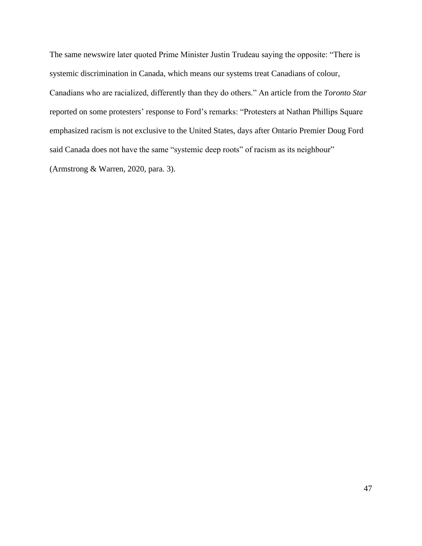The same newswire later quoted Prime Minister Justin Trudeau saying the opposite: "There is systemic discrimination in Canada, which means our systems treat Canadians of colour, Canadians who are racialized, differently than they do others." An article from the *Toronto Star* reported on some protesters' response to Ford's remarks: "Protesters at Nathan Phillips Square emphasized racism is not exclusive to the United States, days after Ontario Premier Doug Ford said Canada does not have the same "systemic deep roots" of racism as its neighbour" (Armstrong & Warren, 2020, para. 3).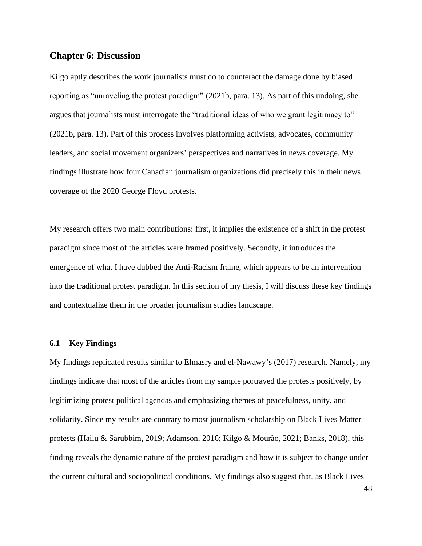# **Chapter 6: Discussion**

Kilgo aptly describes the work journalists must do to counteract the damage done by biased reporting as "unraveling the protest paradigm" (2021b, para. 13). As part of this undoing, she argues that journalists must interrogate the "traditional ideas of who we grant legitimacy to" (2021b, para. 13). Part of this process involves platforming activists, advocates, community leaders, and social movement organizers' perspectives and narratives in news coverage. My findings illustrate how four Canadian journalism organizations did precisely this in their news coverage of the 2020 George Floyd protests.

My research offers two main contributions: first, it implies the existence of a shift in the protest paradigm since most of the articles were framed positively. Secondly, it introduces the emergence of what I have dubbed the Anti-Racism frame, which appears to be an intervention into the traditional protest paradigm. In this section of my thesis, I will discuss these key findings and contextualize them in the broader journalism studies landscape.

## **6.1 Key Findings**

My findings replicated results similar to Elmasry and el-Nawawy's (2017) research. Namely, my findings indicate that most of the articles from my sample portrayed the protests positively, by legitimizing protest political agendas and emphasizing themes of peacefulness, unity, and solidarity. Since my results are contrary to most journalism scholarship on Black Lives Matter protests (Hailu & Sarubbim, 2019; Adamson, 2016; Kilgo & Mourão, 2021; Banks, 2018), this finding reveals the dynamic nature of the protest paradigm and how it is subject to change under the current cultural and sociopolitical conditions. My findings also suggest that, as Black Lives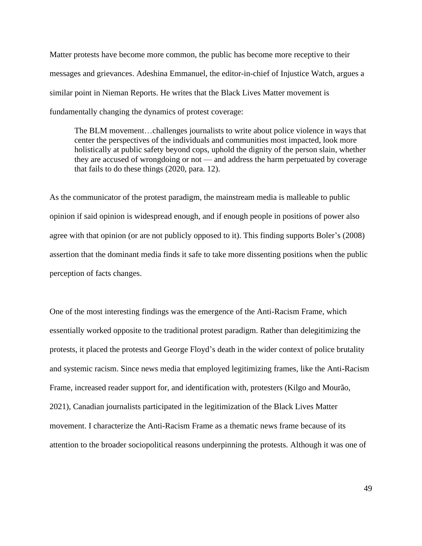Matter protests have become more common, the public has become more receptive to their messages and grievances. Adeshina Emmanuel, the editor-in-chief of Injustice Watch, argues a similar point in Nieman Reports. He writes that the Black Lives Matter movement is fundamentally changing the dynamics of protest coverage:

The BLM movement…challenges journalists to write about police violence in ways that center the perspectives of the individuals and communities most impacted, look more holistically at public safety beyond cops, uphold the dignity of the person slain, whether they are accused of wrongdoing or not — and address the harm perpetuated by coverage that fails to do these things (2020, para. 12).

As the communicator of the protest paradigm, the mainstream media is malleable to public opinion if said opinion is widespread enough, and if enough people in positions of power also agree with that opinion (or are not publicly opposed to it). This finding supports Boler's (2008) assertion that the dominant media finds it safe to take more dissenting positions when the public perception of facts changes.

One of the most interesting findings was the emergence of the Anti-Racism Frame, which essentially worked opposite to the traditional protest paradigm. Rather than delegitimizing the protests, it placed the protests and George Floyd's death in the wider context of police brutality and systemic racism. Since news media that employed legitimizing frames, like the Anti-Racism Frame, increased reader support for, and identification with, protesters (Kilgo and Mourão, 2021), Canadian journalists participated in the legitimization of the Black Lives Matter movement. I characterize the Anti-Racism Frame as a thematic news frame because of its attention to the broader sociopolitical reasons underpinning the protests. Although it was one of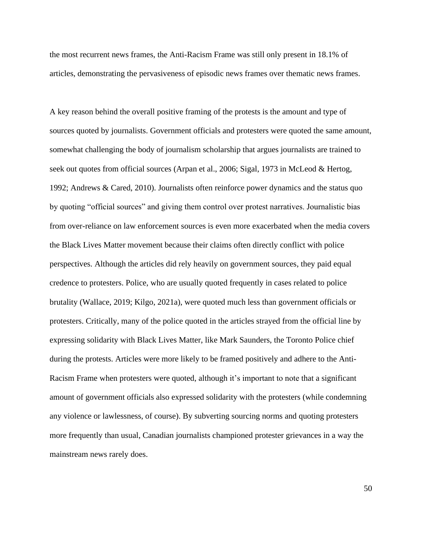the most recurrent news frames, the Anti-Racism Frame was still only present in 18.1% of articles, demonstrating the pervasiveness of episodic news frames over thematic news frames.

A key reason behind the overall positive framing of the protests is the amount and type of sources quoted by journalists. Government officials and protesters were quoted the same amount, somewhat challenging the body of journalism scholarship that argues journalists are trained to seek out quotes from official sources (Arpan et al., 2006; Sigal, 1973 in McLeod & Hertog, 1992; Andrews & Cared, 2010). Journalists often reinforce power dynamics and the status quo by quoting "official sources" and giving them control over protest narratives. Journalistic bias from over-reliance on law enforcement sources is even more exacerbated when the media covers the Black Lives Matter movement because their claims often directly conflict with police perspectives. Although the articles did rely heavily on government sources, they paid equal credence to protesters. Police, who are usually quoted frequently in cases related to police brutality (Wallace, 2019; Kilgo, 2021a), were quoted much less than government officials or protesters. Critically, many of the police quoted in the articles strayed from the official line by expressing solidarity with Black Lives Matter, like Mark Saunders, the Toronto Police chief during the protests. Articles were more likely to be framed positively and adhere to the Anti-Racism Frame when protesters were quoted, although it's important to note that a significant amount of government officials also expressed solidarity with the protesters (while condemning any violence or lawlessness, of course). By subverting sourcing norms and quoting protesters more frequently than usual, Canadian journalists championed protester grievances in a way the mainstream news rarely does.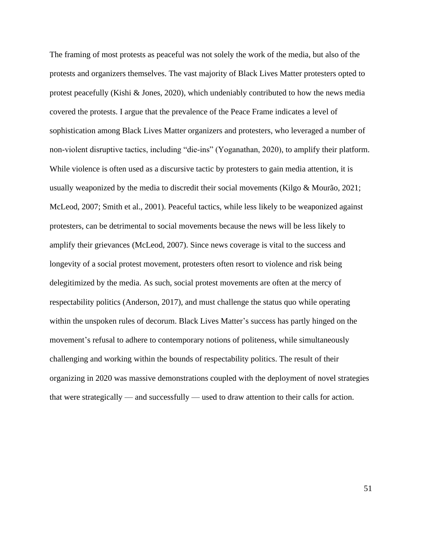The framing of most protests as peaceful was not solely the work of the media, but also of the protests and organizers themselves. The vast majority of Black Lives Matter protesters opted to protest peacefully (Kishi & Jones, 2020), which undeniably contributed to how the news media covered the protests. I argue that the prevalence of the Peace Frame indicates a level of sophistication among Black Lives Matter organizers and protesters, who leveraged a number of non-violent disruptive tactics, including "die-ins" (Yoganathan, 2020), to amplify their platform. While violence is often used as a discursive tactic by protesters to gain media attention, it is usually weaponized by the media to discredit their social movements (Kilgo & Mourão, 2021; McLeod, 2007; Smith et al., 2001). Peaceful tactics, while less likely to be weaponized against protesters, can be detrimental to social movements because the news will be less likely to amplify their grievances (McLeod, 2007). Since news coverage is vital to the success and longevity of a social protest movement, protesters often resort to violence and risk being delegitimized by the media. As such, social protest movements are often at the mercy of respectability politics (Anderson, 2017), and must challenge the status quo while operating within the unspoken rules of decorum. Black Lives Matter's success has partly hinged on the movement's refusal to adhere to contemporary notions of politeness, while simultaneously challenging and working within the bounds of respectability politics. The result of their organizing in 2020 was massive demonstrations coupled with the deployment of novel strategies that were strategically — and successfully — used to draw attention to their calls for action.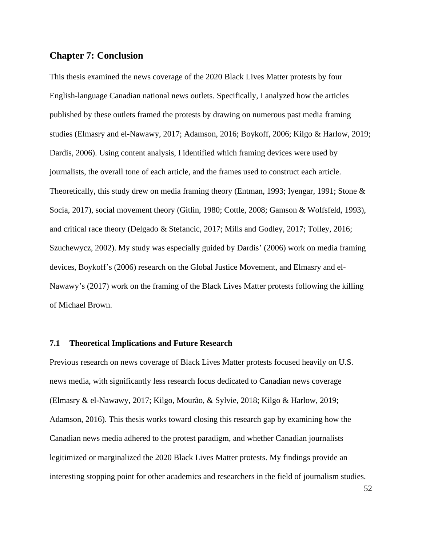# **Chapter 7: Conclusion**

This thesis examined the news coverage of the 2020 Black Lives Matter protests by four English-language Canadian national news outlets. Specifically, I analyzed how the articles published by these outlets framed the protests by drawing on numerous past media framing studies (Elmasry and el-Nawawy, 2017; Adamson, 2016; Boykoff, 2006; Kilgo & Harlow, 2019; Dardis, 2006). Using content analysis, I identified which framing devices were used by journalists, the overall tone of each article, and the frames used to construct each article. Theoretically, this study drew on media framing theory (Entman, 1993; Iyengar, 1991; Stone & Socia, 2017), social movement theory (Gitlin, 1980; Cottle, 2008; Gamson & Wolfsfeld, 1993), and critical race theory (Delgado & Stefancic, 2017; Mills and Godley, 2017; Tolley, 2016; Szuchewycz, 2002). My study was especially guided by Dardis' (2006) work on media framing devices, Boykoff's (2006) research on the Global Justice Movement, and Elmasry and el-Nawawy's (2017) work on the framing of the Black Lives Matter protests following the killing of Michael Brown.

## **7.1 Theoretical Implications and Future Research**

Previous research on news coverage of Black Lives Matter protests focused heavily on U.S. news media, with significantly less research focus dedicated to Canadian news coverage (Elmasry & el-Nawawy, 2017; Kilgo, Mourão, & Sylvie, 2018; Kilgo & Harlow, 2019; Adamson, 2016). This thesis works toward closing this research gap by examining how the Canadian news media adhered to the protest paradigm, and whether Canadian journalists legitimized or marginalized the 2020 Black Lives Matter protests. My findings provide an interesting stopping point for other academics and researchers in the field of journalism studies.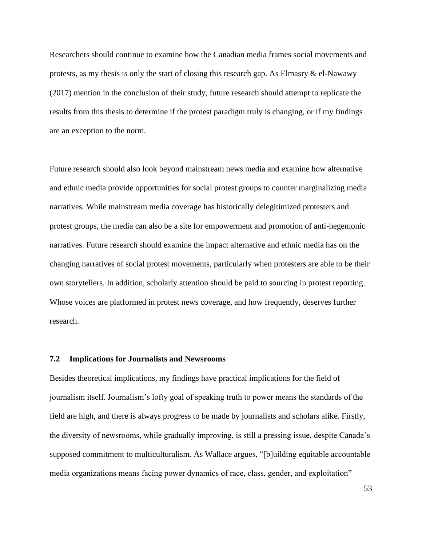Researchers should continue to examine how the Canadian media frames social movements and protests, as my thesis is only the start of closing this research gap. As Elmasry  $\&$  el-Nawawy (2017) mention in the conclusion of their study, future research should attempt to replicate the results from this thesis to determine if the protest paradigm truly is changing, or if my findings are an exception to the norm.

Future research should also look beyond mainstream news media and examine how alternative and ethnic media provide opportunities for social protest groups to counter marginalizing media narratives. While mainstream media coverage has historically delegitimized protesters and protest groups, the media can also be a site for empowerment and promotion of anti-hegemonic narratives. Future research should examine the impact alternative and ethnic media has on the changing narratives of social protest movements, particularly when protesters are able to be their own storytellers. In addition, scholarly attention should be paid to sourcing in protest reporting. Whose voices are platformed in protest news coverage, and how frequently, deserves further research.

#### **7.2 Implications for Journalists and Newsrooms**

Besides theoretical implications, my findings have practical implications for the field of journalism itself. Journalism's lofty goal of speaking truth to power means the standards of the field are high, and there is always progress to be made by journalists and scholars alike. Firstly, the diversity of newsrooms, while gradually improving, is still a pressing issue, despite Canada's supposed commitment to multiculturalism. As Wallace argues, "[b]uilding equitable accountable media organizations means facing power dynamics of race, class, gender, and exploitation"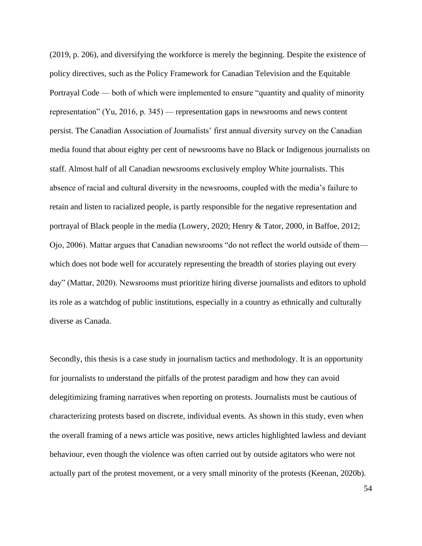(2019, p. 206), and diversifying the workforce is merely the beginning. Despite the existence of policy directives, such as the Policy Framework for Canadian Television and the Equitable Portrayal Code — both of which were implemented to ensure "quantity and quality of minority representation" (Yu, 2016, p. 345) — representation gaps in newsrooms and news content persist. The Canadian Association of Journalists' first annual diversity survey on the Canadian media found that about eighty per cent of newsrooms have no Black or Indigenous journalists on staff. Almost half of all Canadian newsrooms exclusively employ White journalists. This absence of racial and cultural diversity in the newsrooms, coupled with the media's failure to retain and listen to racialized people, is partly responsible for the negative representation and portrayal of Black people in the media (Lowery, 2020; Henry & Tator, 2000, in Baffoe, 2012; Ojo, 2006). Mattar argues that Canadian newsrooms "do not reflect the world outside of them which does not bode well for accurately representing the breadth of stories playing out every day" (Mattar, 2020). Newsrooms must prioritize hiring diverse journalists and editors to uphold its role as a watchdog of public institutions, especially in a country as ethnically and culturally diverse as Canada.

Secondly, this thesis is a case study in journalism tactics and methodology. It is an opportunity for journalists to understand the pitfalls of the protest paradigm and how they can avoid delegitimizing framing narratives when reporting on protests. Journalists must be cautious of characterizing protests based on discrete, individual events. As shown in this study, even when the overall framing of a news article was positive, news articles highlighted lawless and deviant behaviour, even though the violence was often carried out by outside agitators who were not actually part of the protest movement, or a very small minority of the protests (Keenan, 2020b).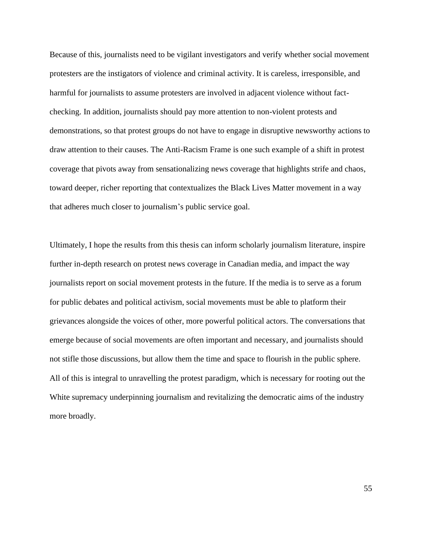Because of this, journalists need to be vigilant investigators and verify whether social movement protesters are the instigators of violence and criminal activity. It is careless, irresponsible, and harmful for journalists to assume protesters are involved in adjacent violence without factchecking. In addition, journalists should pay more attention to non-violent protests and demonstrations, so that protest groups do not have to engage in disruptive newsworthy actions to draw attention to their causes. The Anti-Racism Frame is one such example of a shift in protest coverage that pivots away from sensationalizing news coverage that highlights strife and chaos, toward deeper, richer reporting that contextualizes the Black Lives Matter movement in a way that adheres much closer to journalism's public service goal.

Ultimately, I hope the results from this thesis can inform scholarly journalism literature, inspire further in-depth research on protest news coverage in Canadian media, and impact the way journalists report on social movement protests in the future. If the media is to serve as a forum for public debates and political activism, social movements must be able to platform their grievances alongside the voices of other, more powerful political actors. The conversations that emerge because of social movements are often important and necessary, and journalists should not stifle those discussions, but allow them the time and space to flourish in the public sphere. All of this is integral to unravelling the protest paradigm, which is necessary for rooting out the White supremacy underpinning journalism and revitalizing the democratic aims of the industry more broadly.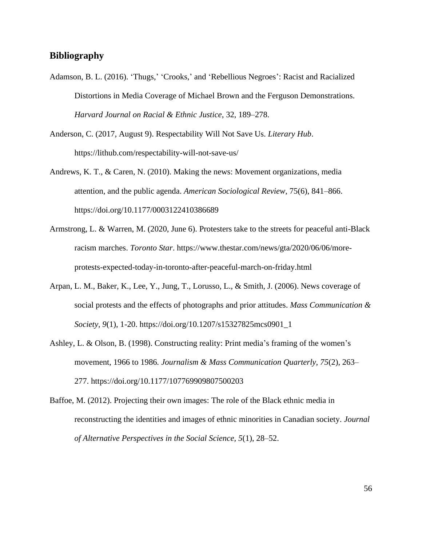# **Bibliography**

- Adamson, B. L. (2016). 'Thugs,' 'Crooks,' and 'Rebellious Negroes': Racist and Racialized Distortions in Media Coverage of Michael Brown and the Ferguson Demonstrations. *Harvard Journal on Racial & Ethnic Justice*, 32, 189–278.
- Anderson, C. (2017, August 9). Respectability Will Not Save Us. *Literary Hub*. https://lithub.com/respectability-will-not-save-us/
- Andrews, K. T., & Caren, N. (2010). Making the news: Movement organizations, media attention, and the public agenda. *American Sociological Review*, 75(6), 841–866. https://doi.org/10.1177/0003122410386689
- Armstrong, L. & Warren, M. (2020, June 6). Protesters take to the streets for peaceful anti-Black racism marches. *Toronto Star*. https://www.thestar.com/news/gta/2020/06/06/moreprotests-expected-today-in-toronto-after-peaceful-march-on-friday.html
- Arpan, L. M., Baker, K., Lee, Y., Jung, T., Lorusso, L., & Smith, J. (2006). News coverage of social protests and the effects of photographs and prior attitudes. *Mass Communication & Society, 9*(1), 1-20. https://doi.org/10.1207/s15327825mcs0901\_1
- Ashley, L. & Olson, B. (1998). Constructing reality: Print media's framing of the women's movement, 1966 to 1986*. Journalism & Mass Communication Quarterly, 75*(2), 263– 277. https://doi.org/10.1177/107769909807500203
- Baffoe, M. (2012). Projecting their own images: The role of the Black ethnic media in reconstructing the identities and images of ethnic minorities in Canadian society. *Journal of Alternative Perspectives in the Social Science, 5*(1), 28–52.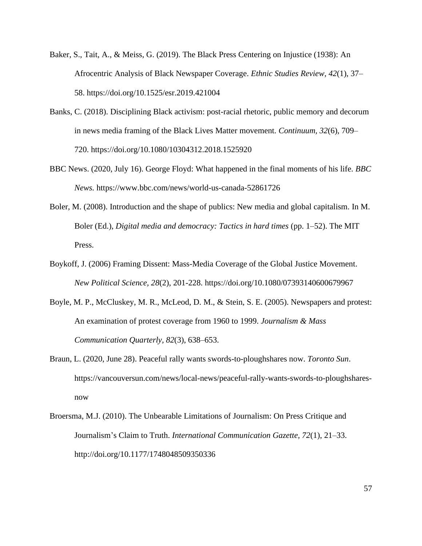- Baker, S., Tait, A., & Meiss, G. (2019). The Black Press Centering on Injustice (1938): An Afrocentric Analysis of Black Newspaper Coverage. *Ethnic Studies Review, 42*(1), 37– 58. https://doi.org/10.1525/esr.2019.421004
- Banks, C. (2018). Disciplining Black activism: post-racial rhetoric, public memory and decorum in news media framing of the Black Lives Matter movement. *Continuum, 32*(6), 709– 720. https://doi.org/10.1080/10304312.2018.1525920
- BBC News. (2020, July 16). George Floyd: What happened in the final moments of his life. *BBC News.* https://www.bbc.com/news/world-us-canada-52861726
- Boler, M. (2008). Introduction and the shape of publics: New media and global capitalism. In M. Boler (Ed.), *Digital media and democracy: Tactics in hard times* (pp. 1–52). The MIT Press.
- Boykoff, J. (2006) Framing Dissent: Mass-Media Coverage of the Global Justice Movement. *New Political Science, 28*(2), 201-228. https://doi.org/10.1080/07393140600679967
- Boyle, M. P., McCluskey, M. R., McLeod, D. M., & Stein, S. E. (2005). Newspapers and protest: An examination of protest coverage from 1960 to 1999. *Journalism & Mass Communication Quarterly, 82*(3), 638–653.
- Braun, L. (2020, June 28). Peaceful rally wants swords-to-ploughshares now. *Toronto Sun*. https://vancouversun.com/news/local-news/peaceful-rally-wants-swords-to-ploughsharesnow
- Broersma, M.J. (2010). The Unbearable Limitations of Journalism: On Press Critique and Journalism's Claim to Truth. *International Communication Gazette, 72*(1), 21–33. http://doi.org/10.1177/1748048509350336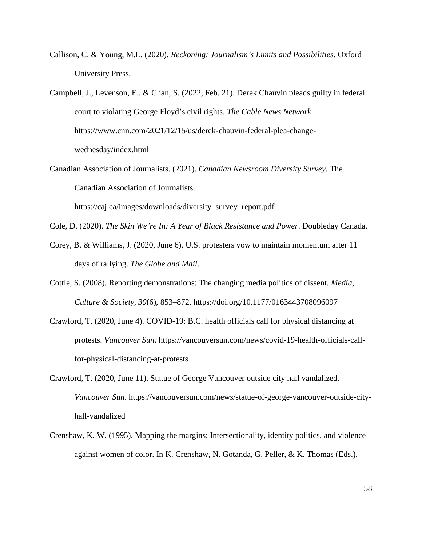- Callison, C. & Young, M.L. (2020). *Reckoning: Journalism's Limits and Possibilities*. Oxford University Press.
- Campbell, J., Levenson, E., & Chan, S. (2022, Feb. 21). Derek Chauvin pleads guilty in federal court to violating George Floyd's civil rights. *The Cable News Network*. https://www.cnn.com/2021/12/15/us/derek-chauvin-federal-plea-changewednesday/index.html
- Canadian Association of Journalists. (2021). *Canadian Newsroom Diversity Survey*. The Canadian Association of Journalists. https://caj.ca/images/downloads/diversity\_survey\_report.pdf
- Cole, D. (2020). *The Skin We're In: A Year of Black Resistance and Power*. Doubleday Canada.
- Corey, B. & Williams, J. (2020, June 6). U.S. protesters vow to maintain momentum after 11 days of rallying. *The Globe and Mail*.
- Cottle, S. (2008). Reporting demonstrations: The changing media politics of dissent. *Media, Culture & Society, 30*(6), 853–872. https://doi.org/10.1177/0163443708096097
- Crawford, T. (2020, June 4). COVID-19: B.C. health officials call for physical distancing at protests. *Vancouver Sun*. https://vancouversun.com/news/covid-19-health-officials-callfor-physical-distancing-at-protests
- Crawford, T. (2020, June 11). Statue of George Vancouver outside city hall vandalized. *Vancouver Sun*. https://vancouversun.com/news/statue-of-george-vancouver-outside-cityhall-vandalized
- Crenshaw, K. W. (1995). Mapping the margins: Intersectionality, identity politics, and violence against women of color. In K. Crenshaw, N. Gotanda, G. Peller, & K. Thomas (Eds.),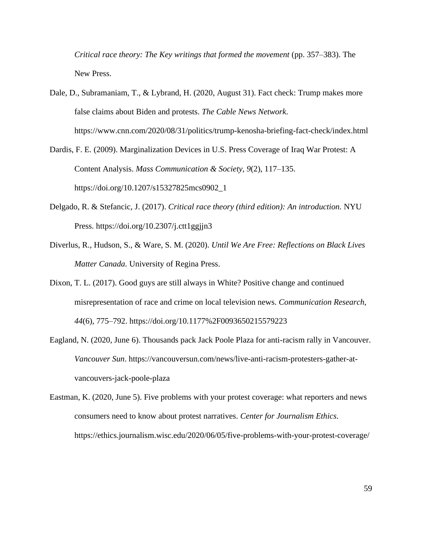*Critical race theory: The Key writings that formed the movement* (pp. 357–383). The New Press.

- Dale, D., Subramaniam, T., & Lybrand, H. (2020, August 31). Fact check: Trump makes more false claims about Biden and protests. *The Cable News Network*. https://www.cnn.com/2020/08/31/politics/trump-kenosha-briefing-fact-check/index.html
- Dardis, F. E. (2009). Marginalization Devices in U.S. Press Coverage of Iraq War Protest: A Content Analysis. *Mass Communication & Society, 9*(2), 117–135. https://doi.org/10.1207/s15327825mcs0902\_1
- Delgado, R. & Stefancic, J. (2017). *Critical race theory (third edition): An introduction.* NYU Press. https://doi.org/10.2307/j.ctt1ggjjn3
- Diverlus, R., Hudson, S., & Ware, S. M. (2020). *Until We Are Free: Reflections on Black Lives Matter Canada.* University of Regina Press.
- Dixon, T. L. (2017). Good guys are still always in White? Positive change and continued misrepresentation of race and crime on local television news. *Communication Research, 44*(6), 775–792. https://doi.org/10.1177%2F0093650215579223
- Eagland, N. (2020, June 6). Thousands pack Jack Poole Plaza for anti-racism rally in Vancouver. *Vancouver Sun*. https://vancouversun.com/news/live-anti-racism-protesters-gather-atvancouvers-jack-poole-plaza
- Eastman, K. (2020, June 5). Five problems with your protest coverage: what reporters and news consumers need to know about protest narratives. *Center for Journalism Ethics*. https://ethics.journalism.wisc.edu/2020/06/05/five-problems-with-your-protest-coverage/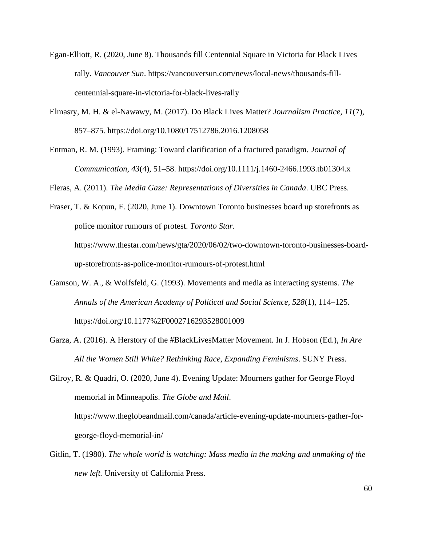- Egan-Elliott, R. (2020, June 8). Thousands fill Centennial Square in Victoria for Black Lives rally. *Vancouver Sun*. https://vancouversun.com/news/local-news/thousands-fillcentennial-square-in-victoria-for-black-lives-rally
- Elmasry, M. H. & el-Nawawy, M. (2017). Do Black Lives Matter? *Journalism Practice, 11*(7), 857–875. https://doi.org/10.1080/17512786.2016.1208058
- Entman, R. M. (1993). Framing: Toward clarification of a fractured paradigm. *Journal of Communication, 43*(4), 51–58. https://doi.org/10.1111/j.1460-2466.1993.tb01304.x

Fleras, A. (2011). *The Media Gaze: Representations of Diversities in Canada*. UBC Press.

Fraser, T. & Kopun, F. (2020, June 1). Downtown Toronto businesses board up storefronts as police monitor rumours of protest. *Toronto Star*. https://www.thestar.com/news/gta/2020/06/02/two-downtown-toronto-businesses-boardup-storefronts-as-police-monitor-rumours-of-protest.html

- Gamson, W. A., & Wolfsfeld, G. (1993). Movements and media as interacting systems. *The Annals of the American Academy of Political and Social Science, 528*(1), 114–125. https://doi.org/10.1177%2F0002716293528001009
- Garza, A. (2016). A Herstory of the #BlackLivesMatter Movement. In J. Hobson (Ed.), *In Are All the Women Still White? Rethinking Race, Expanding Feminisms*. SUNY Press.

Gilroy, R. & Quadri, O. (2020, June 4). Evening Update: Mourners gather for George Floyd memorial in Minneapolis. *The Globe and Mail*. https://www.theglobeandmail.com/canada/article-evening-update-mourners-gather-forgeorge-floyd-memorial-in/

Gitlin, T. (1980). *The whole world is watching: Mass media in the making and unmaking of the new left.* University of California Press.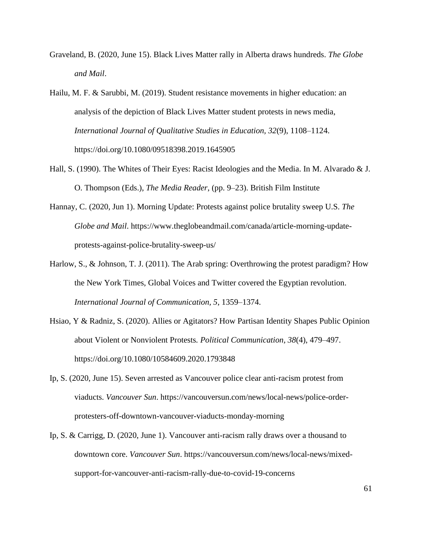- Graveland, B. (2020, June 15). Black Lives Matter rally in Alberta draws hundreds. *The Globe and Mail*.
- Hailu, M. F. & Sarubbi, M. (2019). Student resistance movements in higher education: an analysis of the depiction of Black Lives Matter student protests in news media, *International Journal of Qualitative Studies in Education, 32*(9), 1108–1124. https://doi.org/10.1080/09518398.2019.1645905
- Hall, S. (1990). The Whites of Their Eyes: Racist Ideologies and the Media. In M. Alvarado & J. O. Thompson (Eds.), *The Media Reader*, (pp. 9–23). British Film Institute
- Hannay, C. (2020, Jun 1). Morning Update: Protests against police brutality sweep U.S. *The Globe and Mail*. https://www.theglobeandmail.com/canada/article-morning-updateprotests-against-police-brutality-sweep-us/
- Harlow, S., & Johnson, T. J. (2011). The Arab spring: Overthrowing the protest paradigm? How the New York Times, Global Voices and Twitter covered the Egyptian revolution. *International Journal of Communication, 5*, 1359–1374.
- Hsiao, Y & Radniz, S. (2020). Allies or Agitators? How Partisan Identity Shapes Public Opinion about Violent or Nonviolent Protests*. Political Communication, 38*(4), 479–497. https://doi.org/10.1080/10584609.2020.1793848
- Ip, S. (2020, June 15). Seven arrested as Vancouver police clear anti-racism protest from viaducts. *Vancouver Sun*. https://vancouversun.com/news/local-news/police-orderprotesters-off-downtown-vancouver-viaducts-monday-morning
- Ip, S. & Carrigg, D. (2020, June 1). Vancouver anti-racism rally draws over a thousand to downtown core. *Vancouver Sun*. https://vancouversun.com/news/local-news/mixedsupport-for-vancouver-anti-racism-rally-due-to-covid-19-concerns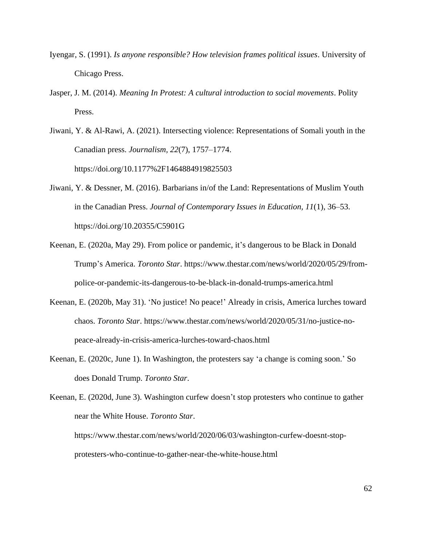- Iyengar, S. (1991). *Is anyone responsible? How television frames political issues*. University of Chicago Press.
- Jasper, J. M. (2014). *Meaning In Protest: A cultural introduction to social movements*. Polity Press.
- Jiwani, Y. & Al-Rawi, A. (2021). Intersecting violence: Representations of Somali youth in the Canadian press. *Journalism, 22*(7), 1757–1774. https://doi.org/10.1177%2F1464884919825503
- Jiwani, Y. & Dessner, M. (2016). Barbarians in/of the Land: Representations of Muslim Youth in the Canadian Press. *Journal of Contemporary Issues in Education, 11*(1), 36–53. https://doi.org/10.20355/C5901G
- Keenan, E. (2020a, May 29). From police or pandemic, it's dangerous to be Black in Donald Trump's America. *Toronto Star*. https://www.thestar.com/news/world/2020/05/29/frompolice-or-pandemic-its-dangerous-to-be-black-in-donald-trumps-america.html
- Keenan, E. (2020b, May 31). 'No justice! No peace!' Already in crisis, America lurches toward chaos. *Toronto Star*. https://www.thestar.com/news/world/2020/05/31/no-justice-nopeace-already-in-crisis-america-lurches-toward-chaos.html
- Keenan, E. (2020c, June 1). In Washington, the protesters say 'a change is coming soon.' So does Donald Trump. *Toronto Star*.

Keenan, E. (2020d, June 3). Washington curfew doesn't stop protesters who continue to gather near the White House. *Toronto Star*. https://www.thestar.com/news/world/2020/06/03/washington-curfew-doesnt-stopprotesters-who-continue-to-gather-near-the-white-house.html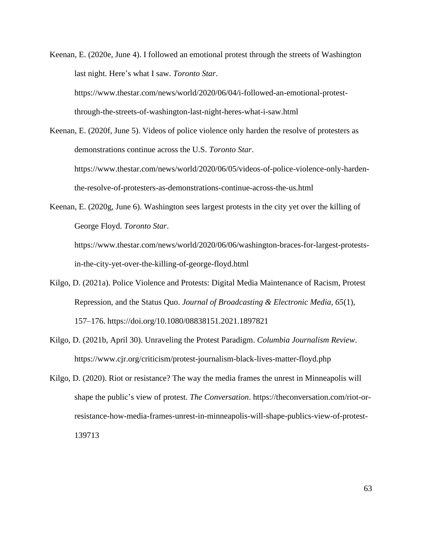Keenan, E. (2020e, June 4). I followed an emotional protest through the streets of Washington last night. Here's what I saw. *Toronto Star*. https://www.thestar.com/news/world/2020/06/04/i-followed-an-emotional-protestthrough-the-streets-of-washington-last-night-heres-what-i-saw.html

Keenan, E. (2020f, June 5). Videos of police violence only harden the resolve of protesters as demonstrations continue across the U.S. *Toronto Star*. https://www.thestar.com/news/world/2020/06/05/videos-of-police-violence-only-hardenthe-resolve-of-protesters-as-demonstrations-continue-across-the-us.html

Keenan, E. (2020g, June 6). Washington sees largest protests in the city yet over the killing of George Floyd. *Toronto Star*.

https://www.thestar.com/news/world/2020/06/06/washington-braces-for-largest-protestsin-the-city-yet-over-the-killing-of-george-floyd.html

- Kilgo, D. (2021a). Police Violence and Protests: Digital Media Maintenance of Racism, Protest Repression, and the Status Quo. *Journal of Broadcasting & Electronic Media, 65*(1), 157–176. https://doi.org/10.1080/08838151.2021.1897821
- Kilgo, D. (2021b, April 30). Unraveling the Protest Paradigm. *Columbia Journalism Review*. https://www.cjr.org/criticism/protest-journalism-black-lives-matter-floyd.php
- Kilgo, D. (2020). Riot or resistance? The way the media frames the unrest in Minneapolis will shape the public's view of protest. *The Conversation*. https://theconversation.com/riot-orresistance-how-media-frames-unrest-in-minneapolis-will-shape-publics-view-of-protest-139713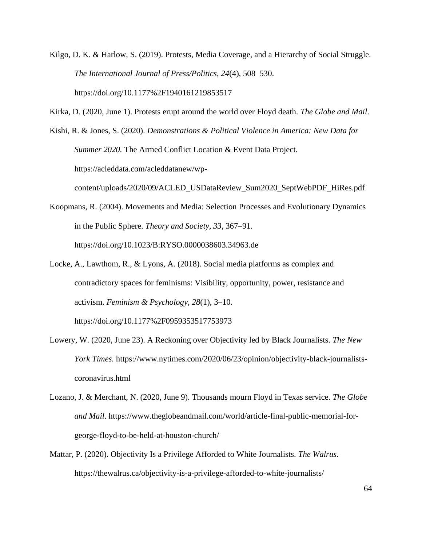Kilgo, D. K. & Harlow, S. (2019). Protests, Media Coverage, and a Hierarchy of Social Struggle. *The International Journal of Press/Politics, 24*(4), 508–530. https://doi.org/10.1177%2F1940161219853517

Kirka, D. (2020, June 1). Protests erupt around the world over Floyd death. *The Globe and Mail*.

Kishi, R. & Jones, S. (2020). *Demonstrations & Political Violence in America: New Data for Summer 2020.* The Armed Conflict Location & Event Data Project. https://acleddata.com/acleddatanew/wp-

content/uploads/2020/09/ACLED\_USDataReview\_Sum2020\_SeptWebPDF\_HiRes.pdf

Koopmans, R. (2004). Movements and Media: Selection Processes and Evolutionary Dynamics in the Public Sphere. *Theory and Society, 33*, 367–91. https://doi.org/10.1023/B:RYSO.0000038603.34963.de

Locke, A., Lawthom, R., & Lyons, A. (2018). Social media platforms as complex and contradictory spaces for feminisms: Visibility, opportunity, power, resistance and activism. *Feminism & Psychology, 28*(1), 3–10.

https://doi.org/10.1177%2F0959353517753973

- Lowery, W. (2020, June 23). A Reckoning over Objectivity led by Black Journalists. *The New York Times.* https://www.nytimes.com/2020/06/23/opinion/objectivity-black-journalistscoronavirus.html
- Lozano, J. & Merchant, N. (2020, June 9). Thousands mourn Floyd in Texas service. *The Globe and Mail*. https://www.theglobeandmail.com/world/article-final-public-memorial-forgeorge-floyd-to-be-held-at-houston-church/
- Mattar, P. (2020). Objectivity Is a Privilege Afforded to White Journalists*. The Walrus*. https://thewalrus.ca/objectivity-is-a-privilege-afforded-to-white-journalists/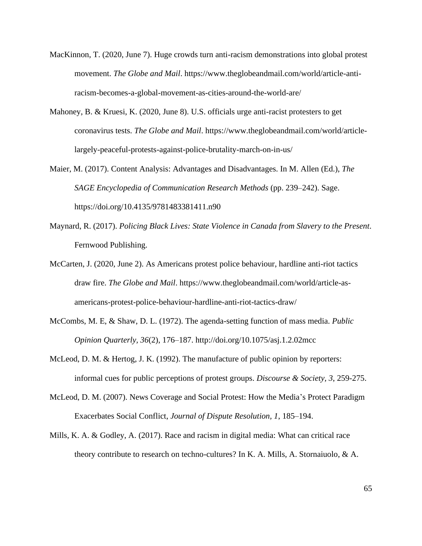- MacKinnon, T. (2020, June 7). Huge crowds turn anti-racism demonstrations into global protest movement. *The Globe and Mail*. https://www.theglobeandmail.com/world/article-antiracism-becomes-a-global-movement-as-cities-around-the-world-are/
- Mahoney, B. & Kruesi, K. (2020, June 8). U.S. officials urge anti-racist protesters to get coronavirus tests. *The Globe and Mail*. https://www.theglobeandmail.com/world/articlelargely-peaceful-protests-against-police-brutality-march-on-in-us/
- Maier, M. (2017). Content Analysis: Advantages and Disadvantages. In M. Allen (Ed.), *The SAGE Encyclopedia of Communication Research Methods* (pp. 239–242). Sage. https://doi.org/10.4135/9781483381411.n90
- Maynard, R. (2017). *Policing Black Lives: State Violence in Canada from Slavery to the Present*. Fernwood Publishing.
- McCarten, J. (2020, June 2). As Americans protest police behaviour, hardline anti-riot tactics draw fire. *The Globe and Mail*. https://www.theglobeandmail.com/world/article-asamericans-protest-police-behaviour-hardline-anti-riot-tactics-draw/
- McCombs, M. E, & Shaw, D. L. (1972). The agenda-setting function of mass media. *Public Opinion Quarterly, 36*(2), 176–187. http://doi.org/10.1075/asj.1.2.02mcc
- McLeod, D. M. & Hertog, J. K. (1992). The manufacture of public opinion by reporters: informal cues for public perceptions of protest groups. *Discourse & Society, 3*, 259-275.
- McLeod, D. M. (2007). News Coverage and Social Protest: How the Media's Protect Paradigm Exacerbates Social Conflict, *Journal of Dispute Resolution, 1*, 185–194.
- Mills, K. A. & Godley, A. (2017). Race and racism in digital media: What can critical race theory contribute to research on techno-cultures? In K. A. Mills, A. Stornaiuolo, & A.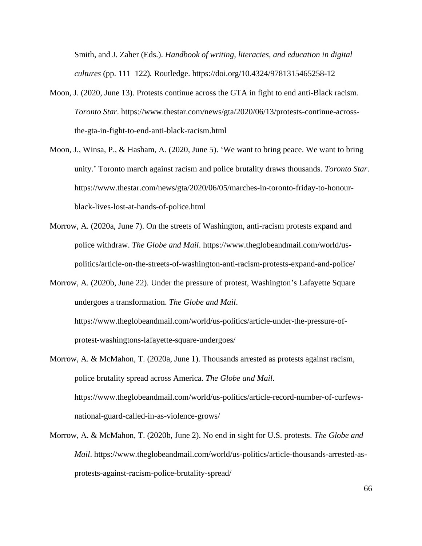Smith, and J. Zaher (Eds.). *Handbook of writing, literacies, and education in digital cultures* (pp. 111–122)*.* Routledge. https://doi.org/10.4324/9781315465258-12

- Moon, J. (2020, June 13). Protests continue across the GTA in fight to end anti-Black racism. *Toronto Star*. https://www.thestar.com/news/gta/2020/06/13/protests-continue-acrossthe-gta-in-fight-to-end-anti-black-racism.html
- Moon, J., Winsa, P., & Hasham, A. (2020, June 5). 'We want to bring peace. We want to bring unity.' Toronto march against racism and police brutality draws thousands. *Toronto Star*. https://www.thestar.com/news/gta/2020/06/05/marches-in-toronto-friday-to-honourblack-lives-lost-at-hands-of-police.html
- Morrow, A. (2020a, June 7). On the streets of Washington, anti-racism protests expand and police withdraw. *The Globe and Mail*. https://www.theglobeandmail.com/world/uspolitics/article-on-the-streets-of-washington-anti-racism-protests-expand-and-police/
- Morrow, A. (2020b, June 22). Under the pressure of protest, Washington's Lafayette Square undergoes a transformation. *The Globe and Mail*. https://www.theglobeandmail.com/world/us-politics/article-under-the-pressure-ofprotest-washingtons-lafayette-square-undergoes/
- Morrow, A. & McMahon, T. (2020a, June 1). Thousands arrested as protests against racism, police brutality spread across America. *The Globe and Mail*. https://www.theglobeandmail.com/world/us-politics/article-record-number-of-curfewsnational-guard-called-in-as-violence-grows/
- Morrow, A. & McMahon, T. (2020b, June 2). No end in sight for U.S. protests. *The Globe and Mail*. https://www.theglobeandmail.com/world/us-politics/article-thousands-arrested-asprotests-against-racism-police-brutality-spread/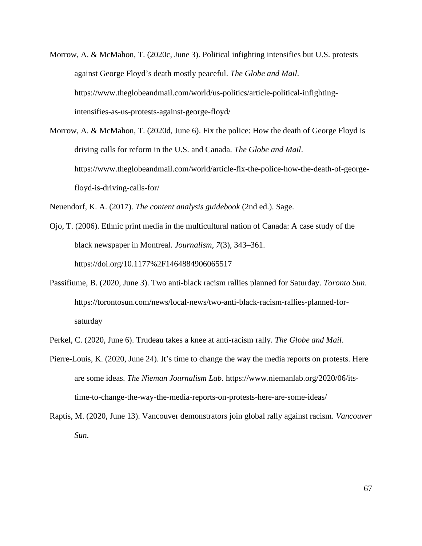- Morrow, A. & McMahon, T. (2020c, June 3). Political infighting intensifies but U.S. protests against George Floyd's death mostly peaceful. *The Globe and Mail*. https://www.theglobeandmail.com/world/us-politics/article-political-infightingintensifies-as-us-protests-against-george-floyd/
- Morrow, A. & McMahon, T. (2020d, June 6). Fix the police: How the death of George Floyd is driving calls for reform in the U.S. and Canada. *The Globe and Mail*. https://www.theglobeandmail.com/world/article-fix-the-police-how-the-death-of-georgefloyd-is-driving-calls-for/

Neuendorf, K. A. (2017). *The content analysis guidebook* (2nd ed.). Sage.

Ojo, T. (2006). Ethnic print media in the multicultural nation of Canada: A case study of the black newspaper in Montreal. *Journalism, 7*(3), 343–361. https://doi.org/10.1177%2F1464884906065517

- Passifiume, B. (2020, June 3). Two anti-black racism rallies planned for Saturday. *Toronto Sun*. https://torontosun.com/news/local-news/two-anti-black-racism-rallies-planned-forsaturday
- Perkel, C. (2020, June 6). Trudeau takes a knee at anti-racism rally. *The Globe and Mail*.
- Pierre-Louis, K. (2020, June 24). It's time to change the way the media reports on protests. Here are some ideas. *The Nieman Journalism Lab*. https://www.niemanlab.org/2020/06/itstime-to-change-the-way-the-media-reports-on-protests-here-are-some-ideas/
- Raptis, M. (2020, June 13). Vancouver demonstrators join global rally against racism. *Vancouver Sun*.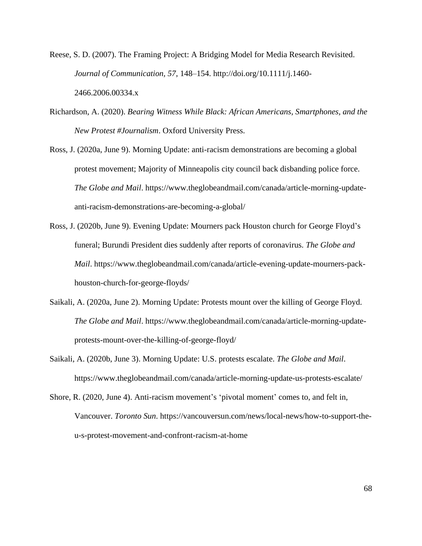Reese, S. D. (2007). The Framing Project: A Bridging Model for Media Research Revisited. *Journal of Communication, 57*, 148–154. http://doi.org/10.1111/j.1460- 2466.2006.00334.x

- Richardson, A. (2020). *Bearing Witness While Black: African Americans, Smartphones, and the New Protest #Journalism*. Oxford University Press.
- Ross, J. (2020a, June 9). Morning Update: anti-racism demonstrations are becoming a global protest movement; Majority of Minneapolis city council back disbanding police force. *The Globe and Mail*. https://www.theglobeandmail.com/canada/article-morning-updateanti-racism-demonstrations-are-becoming-a-global/
- Ross, J. (2020b, June 9). Evening Update: Mourners pack Houston church for George Floyd's funeral; Burundi President dies suddenly after reports of coronavirus. *The Globe and Mail*. https://www.theglobeandmail.com/canada/article-evening-update-mourners-packhouston-church-for-george-floyds/
- Saikali, A. (2020a, June 2). Morning Update: Protests mount over the killing of George Floyd. *The Globe and Mail*. https://www.theglobeandmail.com/canada/article-morning-updateprotests-mount-over-the-killing-of-george-floyd/
- Saikali, A. (2020b, June 3). Morning Update: U.S. protests escalate. *The Globe and Mail*. https://www.theglobeandmail.com/canada/article-morning-update-us-protests-escalate/
- Shore, R. (2020, June 4). Anti-racism movement's 'pivotal moment' comes to, and felt in, Vancouver. *Toronto Sun*. https://vancouversun.com/news/local-news/how-to-support-theu-s-protest-movement-and-confront-racism-at-home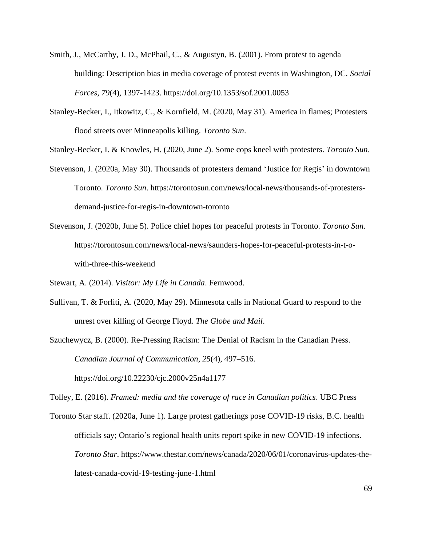- Smith, J., McCarthy, J. D., McPhail, C., & Augustyn, B. (2001). From protest to agenda building: Description bias in media coverage of protest events in Washington, DC. *Social Forces, 79*(4), 1397-1423. https://doi.org/10.1353/sof.2001.0053
- Stanley-Becker, I., Itkowitz, C., & Kornfield, M. (2020, May 31). America in flames; Protesters flood streets over Minneapolis killing. *Toronto Sun*.

Stanley-Becker, I. & Knowles, H. (2020, June 2). Some cops kneel with protesters. *Toronto Sun*.

- Stevenson, J. (2020a, May 30). Thousands of protesters demand 'Justice for Regis' in downtown Toronto. *Toronto Sun*. https://torontosun.com/news/local-news/thousands-of-protestersdemand-justice-for-regis-in-downtown-toronto
- Stevenson, J. (2020b, June 5). Police chief hopes for peaceful protests in Toronto. *Toronto Sun*. https://torontosun.com/news/local-news/saunders-hopes-for-peaceful-protests-in-t-owith-three-this-weekend
- Stewart, A. (2014). *Visitor: My Life in Canada*. Fernwood.
- Sullivan, T. & Forliti, A. (2020, May 29). Minnesota calls in National Guard to respond to the unrest over killing of George Floyd. *The Globe and Mail*.
- Szuchewycz, B. (2000). Re-Pressing Racism: The Denial of Racism in the Canadian Press. *Canadian Journal of Communication, 25*(4), 497–516.

https://doi.org/10.22230/cjc.2000v25n4a1177

Tolley, E. (2016). *Framed: media and the coverage of race in Canadian politics*. UBC Press

Toronto Star staff. (2020a, June 1). Large protest gatherings pose COVID-19 risks, B.C. health officials say; Ontario's regional health units report spike in new COVID-19 infections. *Toronto Star*. https://www.thestar.com/news/canada/2020/06/01/coronavirus-updates-thelatest-canada-covid-19-testing-june-1.html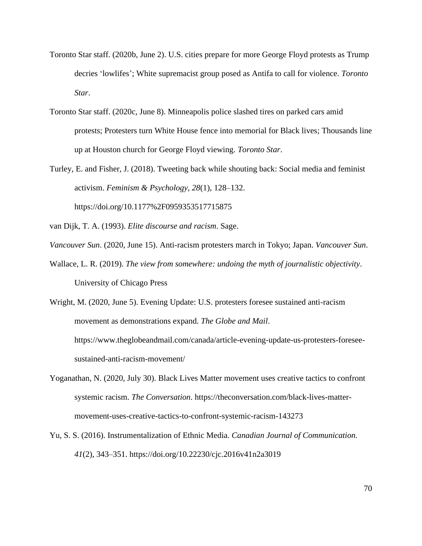- Toronto Star staff. (2020b, June 2). U.S. cities prepare for more George Floyd protests as Trump decries 'lowlifes'; White supremacist group posed as Antifa to call for violence. *Toronto Star*.
- Toronto Star staff. (2020c, June 8). Minneapolis police slashed tires on parked cars amid protests; Protesters turn White House fence into memorial for Black lives; Thousands line up at Houston church for George Floyd viewing. *Toronto Star*.
- Turley, E. and Fisher, J. (2018). Tweeting back while shouting back: Social media and feminist activism. *Feminism & Psychology, 28*(1), 128–132. https://doi.org/10.1177%2F0959353517715875
- van Dijk, T. A. (1993). *Elite discourse and racism*. Sage.
- *Vancouver Sun*. (2020, June 15). Anti-racism protesters march in Tokyo; Japan. *Vancouver Sun*.
- Wallace, L. R. (2019). *The view from somewhere: undoing the myth of journalistic objectivity*. University of Chicago Press

Wright, M. (2020, June 5). Evening Update: U.S. protesters foresee sustained anti-racism movement as demonstrations expand. *The Globe and Mail*. https://www.theglobeandmail.com/canada/article-evening-update-us-protesters-foreseesustained-anti-racism-movement/

- Yoganathan, N. (2020, July 30). Black Lives Matter movement uses creative tactics to confront systemic racism. *The Conversation*. https://theconversation.com/black-lives-mattermovement-uses-creative-tactics-to-confront-systemic-racism-143273
- Yu, S. S. (2016). Instrumentalization of Ethnic Media. *Canadian Journal of Communication. 41*(2), 343–351. https://doi.org/10.22230/cjc.2016v41n2a3019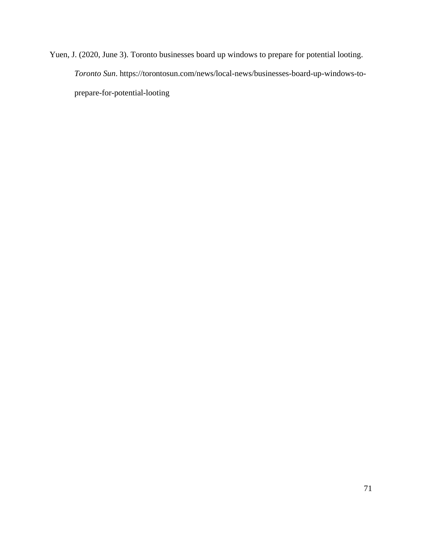Yuen, J. (2020, June 3). Toronto businesses board up windows to prepare for potential looting. *Toronto Sun*. https://torontosun.com/news/local-news/businesses-board-up-windows-toprepare-for-potential-looting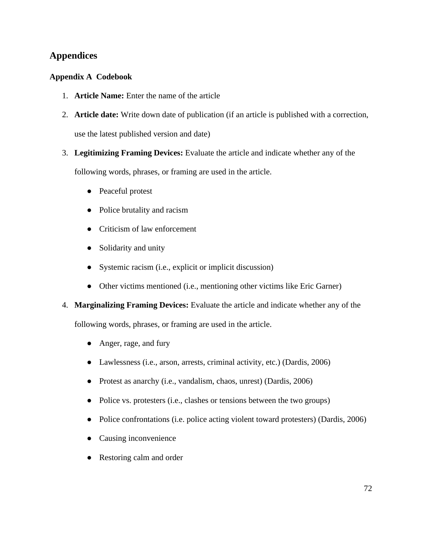## **Appendices**

## **Appendix A Codebook**

- 1. **Article Name:** Enter the name of the article
- 2. **Article date:** Write down date of publication (if an article is published with a correction, use the latest published version and date)
- 3. **Legitimizing Framing Devices:** Evaluate the article and indicate whether any of the

following words, phrases, or framing are used in the article.

- Peaceful protest
- Police brutality and racism
- Criticism of law enforcement
- Solidarity and unity
- Systemic racism (i.e., explicit or implicit discussion)
- Other victims mentioned (i.e., mentioning other victims like Eric Garner)
- 4. **Marginalizing Framing Devices:** Evaluate the article and indicate whether any of the

following words, phrases, or framing are used in the article.

- Anger, rage, and fury
- Lawlessness (i.e., arson, arrests, criminal activity, etc.) (Dardis, 2006)
- Protest as anarchy (i.e., vandalism, chaos, unrest) (Dardis, 2006)
- Police vs. protesters (i.e., clashes or tensions between the two groups)
- Police confrontations (i.e. police acting violent toward protesters) (Dardis, 2006)
- Causing inconvenience
- Restoring calm and order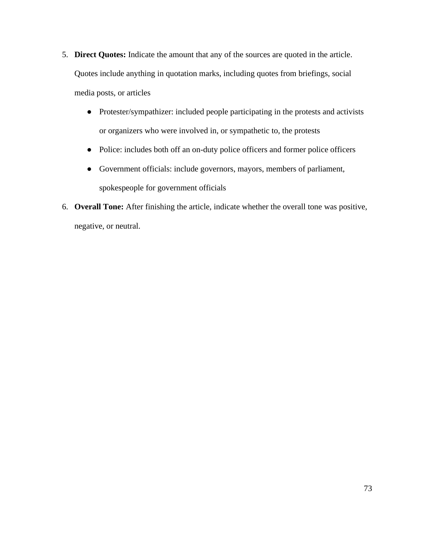- 5. **Direct Quotes:** Indicate the amount that any of the sources are quoted in the article. Quotes include anything in quotation marks, including quotes from briefings, social media posts, or articles
	- Protester/sympathizer: included people participating in the protests and activists or organizers who were involved in, or sympathetic to, the protests
	- Police: includes both off an on-duty police officers and former police officers
	- Government officials: include governors, mayors, members of parliament, spokespeople for government officials
- 6. **Overall Tone:** After finishing the article, indicate whether the overall tone was positive, negative, or neutral.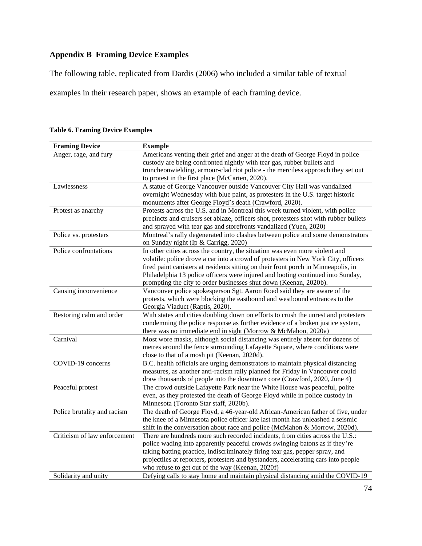## **Appendix B Framing Device Examples**

The following table, replicated from Dardis (2006) who included a similar table of textual

examples in their research paper, shows an example of each framing device.

| <b>Framing Device</b>        | <b>Example</b>                                                                                                                                                                                                                                                                                                                                                                                                  |
|------------------------------|-----------------------------------------------------------------------------------------------------------------------------------------------------------------------------------------------------------------------------------------------------------------------------------------------------------------------------------------------------------------------------------------------------------------|
| Anger, rage, and fury        | Americans venting their grief and anger at the death of George Floyd in police<br>custody are being confronted nightly with tear gas, rubber bullets and<br>truncheonwielding, armour-clad riot police - the merciless approach they set out<br>to protest in the first place (McCarten, 2020).                                                                                                                 |
| Lawlessness                  | A statue of George Vancouver outside Vancouver City Hall was vandalized                                                                                                                                                                                                                                                                                                                                         |
|                              | overnight Wednesday with blue paint, as protesters in the U.S. target historic<br>monuments after George Floyd's death (Crawford, 2020).                                                                                                                                                                                                                                                                        |
| Protest as anarchy           | Protests across the U.S. and in Montreal this week turned violent, with police<br>precincts and cruisers set ablaze, officers shot, protesters shot with rubber bullets<br>and sprayed with tear gas and storefronts vandalized (Yuen, 2020)                                                                                                                                                                    |
| Police vs. protesters        | Montreal's rally degenerated into clashes between police and some demonstrators<br>on Sunday night (Ip & Carrigg, 2020)                                                                                                                                                                                                                                                                                         |
| Police confrontations        | In other cities across the country, the situation was even more violent and<br>volatile: police drove a car into a crowd of protesters in New York City, officers<br>fired paint canisters at residents sitting on their front porch in Minneapolis, in<br>Philadelphia 13 police officers were injured and looting continued into Sunday,<br>prompting the city to order businesses shut down (Keenan, 2020b). |
| Causing inconvenience        | Vancouver police spokesperson Sgt. Aaron Roed said they are aware of the<br>protests, which were blocking the eastbound and westbound entrances to the<br>Georgia Viaduct (Raptis, 2020).                                                                                                                                                                                                                       |
| Restoring calm and order     | With states and cities doubling down on efforts to crush the unrest and protesters<br>condemning the police response as further evidence of a broken justice system,<br>there was no immediate end in sight (Morrow & McMahon, 2020a)                                                                                                                                                                           |
| Carnival                     | Most wore masks, although social distancing was entirely absent for dozens of<br>metres around the fence surrounding Lafayette Square, where conditions were<br>close to that of a mosh pit (Keenan, 2020d).                                                                                                                                                                                                    |
| COVID-19 concerns            | B.C. health officials are urging demonstrators to maintain physical distancing<br>measures, as another anti-racism rally planned for Friday in Vancouver could<br>draw thousands of people into the downtown core (Crawford, 2020, June 4)                                                                                                                                                                      |
| Peaceful protest             | The crowd outside Lafayette Park near the White House was peaceful, polite<br>even, as they protested the death of George Floyd while in police custody in<br>Minnesota (Toronto Star staff, 2020b).                                                                                                                                                                                                            |
| Police brutality and racism  | The death of George Floyd, a 46-year-old African-American father of five, under<br>the knee of a Minnesota police officer late last month has unleashed a seismic<br>shift in the conversation about race and police (McMahon & Morrow, 2020d).                                                                                                                                                                 |
| Criticism of law enforcement | There are hundreds more such recorded incidents, from cities across the U.S.:<br>police wading into apparently peaceful crowds swinging batons as if they're<br>taking batting practice, indiscriminately firing tear gas, pepper spray, and<br>projectiles at reporters, protesters and bystanders, accelerating cars into people<br>who refuse to get out of the way (Keenan, 2020f)                          |
| Solidarity and unity         | Defying calls to stay home and maintain physical distancing amid the COVID-19                                                                                                                                                                                                                                                                                                                                   |

**Table 6. Framing Device Examples**